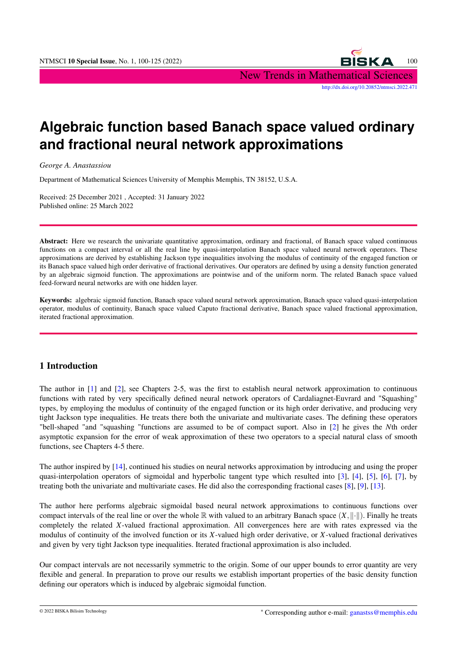

# **Algebraic function based Banach space valued ordinary and fractional neural network approximations**

*George A. Anastassiou*

Department of Mathematical Sciences University of Memphis Memphis, TN 38152, U.S.A.

Received: 25 December 2021 , Accepted: 31 January 2022 Published online: 25 March 2022

Abstract: Here we research the univariate quantitative approximation, ordinary and fractional, of Banach space valued continuous functions on a compact interval or all the real line by quasi-interpolation Banach space valued neural network operators. These approximations are derived by establishing Jackson type inequalities involving the modulus of continuity of the engaged function or its Banach space valued high order derivative of fractional derivatives. Our operators are defined by using a density function generated by an algebraic sigmoid function. The approximations are pointwise and of the uniform norm. The related Banach space valued feed-forward neural networks are with one hidden layer.

Keywords: algebraic sigmoid function, Banach space valued neural network approximation, Banach space valued quasi-interpolation operator, modulus of continuity, Banach space valued Caputo fractional derivative, Banach space valued fractional approximation, iterated fractional approximation.

## 1 Introduction

The author in [\[1\]](#page-24-0) and [\[2\]](#page-24-1), see Chapters 2-5, was the first to establish neural network approximation to continuous functions with rated by very specifically defined neural network operators of Cardaliagnet-Euvrard and "Squashing" types, by employing the modulus of continuity of the engaged function or its high order derivative, and producing very tight Jackson type inequalities. He treats there both the univariate and multivariate cases. The defining these operators "bell-shaped "and "squashing "functions are assumed to be of compact suport. Also in [\[2\]](#page-24-1) he gives the *N*th order asymptotic expansion for the error of weak approximation of these two operators to a special natural class of smooth functions, see Chapters 4-5 there.

The author inspired by [\[14\]](#page-25-0), continued his studies on neural networks approximation by introducing and using the proper quasi-interpolation operators of sigmoidal and hyperbolic tangent type which resulted into [\[3\]](#page-25-1), [\[4\]](#page-25-2), [\[5\]](#page-25-3), [\[6\]](#page-25-4), [\[7\]](#page-25-5), by treating both the univariate and multivariate cases. He did also the corresponding fractional cases [\[8\]](#page-25-6), [\[9\]](#page-25-7), [\[13\]](#page-25-8).

The author here performs algebraic sigmoidal based neural network approximations to continuous functions over compact intervals of the real line or over the whole R with valued to an arbitrary Banach space  $(X, \| \cdot \|)$ . Finally he treats completely the related *X*-valued fractional approximation. All convergences here are with rates expressed via the modulus of continuity of the involved function or its *X*-valued high order derivative, or *X*-valued fractional derivatives and given by very tight Jackson type inequalities. Iterated fractional approximation is also included.

Our compact intervals are not necessarily symmetric to the origin. Some of our upper bounds to error quantity are very flexible and general. In preparation to prove our results we establish important properties of the basic density function defining our operators which is induced by algebraic sigmoidal function.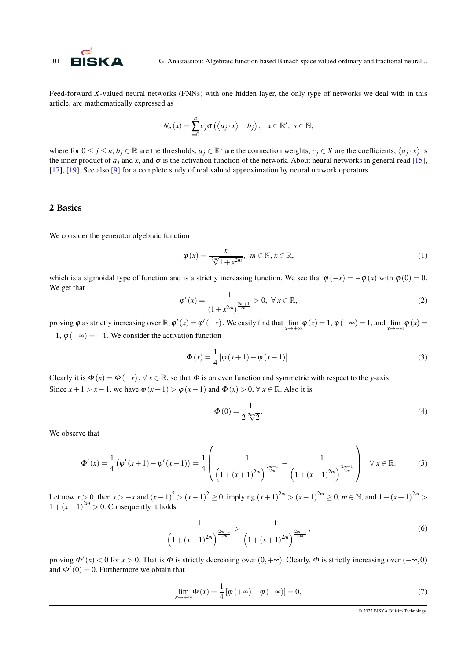

Feed-forward *X*-valued neural networks (FNNs) with one hidden layer, the only type of networks we deal with in this article, are mathematically expressed as

$$
N_n(x) = \sum_{i=0}^n c_i \sigma\left(\langle a_j \cdot x \rangle + b_j\right), \quad x \in \mathbb{R}^s, \ s \in \mathbb{N},
$$

where for  $0 \le j \le n$ ,  $b_j \in \mathbb{R}$  are the thresholds,  $a_j \in \mathbb{R}^s$  are the connection weights,  $c_j \in X$  are the coefficients,  $\langle a_j \cdot x \rangle$  is the inner product of  $a_j$  and  $x$ , and  $\sigma$  is the activation function of the network. About neural networks in general read [\[15\]](#page-25-9), [\[17\]](#page-25-10), [\[19\]](#page-25-11). See also [\[9\]](#page-25-7) for a complete study of real valued approximation by neural network operators.

### 2 Basics

We consider the generator algebraic function

<span id="page-1-0"></span>
$$
\varphi(x) = \frac{x}{\sqrt[2m]{1 + x^{2m}}}, \quad m \in \mathbb{N}, x \in \mathbb{R},
$$
\n(1)

which is a sigmoidal type of function and is a strictly increasing function. We see that  $\varphi(-x) = -\varphi(x)$  with  $\varphi(0) = 0$ . We get that

$$
\varphi'(x) = \frac{1}{(1 + x^{2m})^{\frac{2m+1}{2m}}} > 0, \ \forall \, x \in \mathbb{R},
$$
\n(2)

proving  $\varphi$  as strictly increasing over  $\mathbb{R}, \varphi'(x) = \varphi'(-x)$ . We easily find that  $\lim_{x \to +\infty} \varphi(x) = 1$ ,  $\varphi(+\infty) = 1$ , and  $\lim_{x \to -\infty} \varphi(x) = 1$  $-1, \varphi(-\infty) = -1$ . We consider the activation function

$$
\Phi(x) = \frac{1}{4} [\varphi(x+1) - \varphi(x-1)].
$$
\n(3)

Clearly it is  $\Phi(x) = \Phi(-x)$ ,  $\forall x \in \mathbb{R}$ , so that  $\Phi$  is an even function and symmetric with respect to the *y*-axis. Since  $x+1 > x-1$ , we have  $\varphi(x+1) > \varphi(x-1)$  and  $\Phi(x) > 0$ ,  $\forall x \in \mathbb{R}$ . Also it is

$$
\Phi(0) = \frac{1}{2^{\frac{2m}{2}}}
$$
\n<sup>(4)</sup>

We observe that

$$
\Phi'(x) = \frac{1}{4} \left( \phi'(x+1) - \phi'(x-1) \right) = \frac{1}{4} \left( \frac{1}{\left( 1 + (x+1)^{2m} \right)^{\frac{2m+1}{2m}}} - \frac{1}{\left( 1 + (x-1)^{2m} \right)^{\frac{2m+1}{2m}}} \right), \ \forall \ x \in \mathbb{R}.
$$
 (5)

Let now *x* > 0, then *x* > −*x* and  $(x+1)^2$  >  $(x-1)^2 \ge 0$ , implying  $(x+1)^{2m}$  >  $(x-1)^{2m} \ge 0$ ,  $m \in \mathbb{N}$ , and  $1 + (x+1)^{2m}$  >  $1 + (x - 1)^{2m} > 0$ . Consequently it holds

$$
\frac{1}{\left(1+(x-1)^{2m}\right)^{\frac{2m+1}{2m}}} > \frac{1}{\left(1+(x+1)^{2m}\right)^{\frac{2m+1}{2m}}},\tag{6}
$$

proving  $\Phi'(x) < 0$  for  $x > 0$ . That is  $\Phi$  is strictly decreasing over  $(0, +\infty)$ . Clearly,  $\Phi$  is strictly increasing over  $(-\infty, 0)$ and  $\Phi'(0) = 0$ . Furthermore we obtain that

$$
\lim_{x \to +\infty} \Phi(x) = \frac{1}{4} \left[ \varphi(+\infty) - \varphi(+\infty) \right] = 0,\tag{7}
$$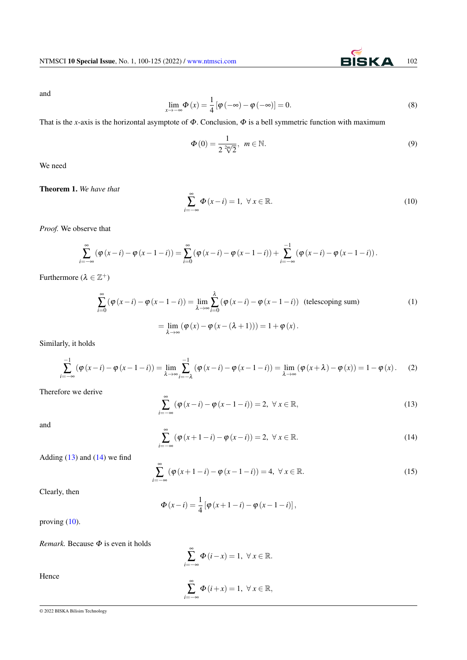and

$$
\lim_{x \to -\infty} \Phi(x) = \frac{1}{4} \left[ \varphi(-\infty) - \varphi(-\infty) \right] = 0.
$$
\n(8)

That is the *x*-axis is the horizontal asymptote of  $\Phi$ . Conclusion,  $\Phi$  is a bell symmetric function with maximum

$$
\Phi(0) = \frac{1}{2\sqrt[2m]{2}}, \ \ m \in \mathbb{N}.
$$
\n(9)

We need

### Theorem 1. *We have that*

$$
\sum_{i=-\infty}^{\infty} \Phi(x-i) = 1, \ \forall \, x \in \mathbb{R}.
$$
 (10)

*Proof.* We observe that

$$
\sum_{i=-\infty}^{\infty} (\varphi(x-i) - \varphi(x-1-i)) = \sum_{i=0}^{\infty} (\varphi(x-i) - \varphi(x-1-i)) + \sum_{i=-\infty}^{-1} (\varphi(x-i) - \varphi(x-1-i)).
$$

Furthermore  $(\lambda \in \mathbb{Z}^+)$ 

$$
\sum_{i=0}^{\infty} (\varphi(x-i) - \varphi(x-1-i)) = \lim_{\lambda \to \infty} \sum_{i=0}^{\lambda} (\varphi(x-i) - \varphi(x-1-i)) \text{ (telescoping sum)}
$$
\n
$$
= \lim_{\lambda \to \infty} (\varphi(x) - \varphi(x-(\lambda+1))) = 1 + \varphi(x).
$$
\n(1)

Similarly, it holds

<span id="page-2-0"></span>
$$
\sum_{i=-\infty}^{-1} (\varphi(x-i) - \varphi(x-1-i)) = \lim_{\lambda \to \infty} \sum_{i=-\lambda}^{-1} (\varphi(x-i) - \varphi(x-1-i)) = \lim_{\lambda \to \infty} (\varphi(x+\lambda) - \varphi(x)) = 1 - \varphi(x).
$$
 (2)

Therefore we derive

$$
\sum_{i=-\infty}^{\infty} (\varphi(x-i) - \varphi(x-1-i)) = 2, \ \forall x \in \mathbb{R},
$$
\n(13)

and

$$
\sum_{i=-\infty}^{\infty} (\varphi(x+1-i) - \varphi(x-i)) = 2, \ \forall x \in \mathbb{R}.
$$
 (14)

Adding  $(13)$  and  $(14)$  we find

$$
\sum_{i=-\infty}^{\infty} (\varphi(x+1-i) - \varphi(x-1-i)) = 4, \ \forall x \in \mathbb{R}.
$$
 (15)

Clearly, then

$$
\Phi(x - i) = \frac{1}{4} [\varphi(x + 1 - i) - \varphi(x - 1 - i)],
$$

proving  $(10)$ .

*Remark.* Because Φ is even it holds

$$
\sum_{i=-\infty}^{\infty} \Phi(i-x) = 1, \ \forall x \in \mathbb{R}.
$$

$$
\sum_{i=-\infty}^{\infty} \Phi(i+x) = 1, \ \forall x \in \mathbb{R},
$$

Hence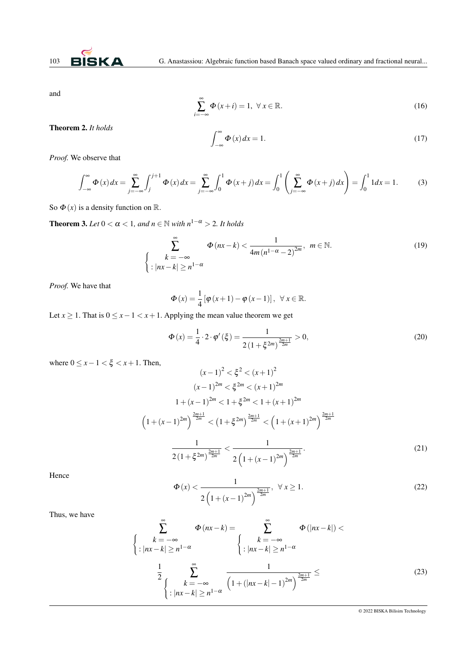

and

$$
\sum_{i=-\infty}^{\infty} \Phi(x+i) = 1, \ \forall \, x \in \mathbb{R}.
$$
 (16)

Theorem 2. *It holds*

<span id="page-3-0"></span>
$$
\int_{-\infty}^{\infty} \Phi(x) dx = 1.
$$
 (17)

*Proof.* We observe that

$$
\int_{-\infty}^{\infty} \Phi(x) dx = \sum_{j=-\infty}^{\infty} \int_{j}^{j+1} \Phi(x) dx = \sum_{j=-\infty}^{\infty} \int_{0}^{1} \Phi(x+j) dx = \int_{0}^{1} \left( \sum_{j=-\infty}^{\infty} \Phi(x+j) dx \right) = \int_{0}^{1} 1 dx = 1.
$$
 (3)

So  $\Phi(x)$  is a density function on R.

<span id="page-3-1"></span>**Theorem 3.** *Let*  $0 < \alpha < 1$ *, and*  $n \in \mathbb{N}$  *with*  $n^{1-\alpha} > 2$ *. It holds* 

$$
\sum_{k=-\infty}^{\infty} \Phi(nx-k) < \frac{1}{4m(n^{1-\alpha}-2)^{2m}}, \ m \in \mathbb{N}.
$$
\n
$$
\left\{ \left. \begin{array}{l} k = -\infty \\ |nx - k| \ge n^{1-\alpha} \end{array} \right. \right.
$$
\n
$$
(19)
$$

*Proof.* We have that

$$
\Phi(x) = \frac{1}{4} \left[ \varphi(x+1) - \varphi(x-1) \right], \ \forall x \in \mathbb{R}.
$$

Let *x* ≥ 1. That is  $0 \le x - 1 < x + 1$ . Applying the mean value theorem we get

$$
\Phi(x) = \frac{1}{4} \cdot 2 \cdot \varphi'(\xi) = \frac{1}{2\left(1 + \xi^{2m}\right)^{\frac{2m+1}{2m}}} > 0,
$$
\n(20)

where  $0 \leq x - 1 < \xi < x + 1$ . Then,

$$
(x-1)^2 < \xi^2 < (x+1)^2
$$
\n
$$
(x-1)^{2m} < \xi^{2m} < (x+1)^{2m}
$$
\n
$$
1 + (x-1)^{2m} < 1 + \xi^{2m} < 1 + (x+1)^{2m}
$$
\n
$$
\left(1 + (x-1)^{2m}\right)^{\frac{2m+1}{2m}} < \left(1 + \xi^{2m}\right)^{\frac{2m+1}{2m}} < \left(1 + (x+1)^{2m}\right)^{\frac{2m+1}{2m}}
$$
\n
$$
\frac{1}{2\left(1 + \xi^{2m}\right)^{\frac{2m+1}{2m}}} < \frac{1}{2\left(1 + (x-1)^{2m}\right)^{\frac{2m+1}{2m}}}.
$$
\n
$$
(21)
$$

 $\overline{2}$ 

Hence

$$
\Phi(x) < \frac{1}{2\left(1 + (x - 1)^{2m}\right)^{\frac{2m+1}{2m}}}, \ \forall x \ge 1. \tag{22}
$$

Thus, we have

$$
\sum_{k=-\infty}^{\infty} \Phi(nx-k) = \sum_{k=-\infty}^{\infty} \Phi(|nx-k|) <
$$
  

$$
\left\{ \begin{array}{l} k = -\infty \\ \n\cdot |nx-k| \ge n^{1-\alpha} \end{array} \right\} \cdot |nx-k| \ge n^{1-\alpha}
$$
  

$$
\frac{1}{2} \sum_{\substack{k=-\infty \\ \n\cdot |nx-k| \ge n^{1-\alpha}}} \frac{1}{\left(1 + (|nx-k| - 1)^{2m}\right)^{\frac{2m+1}{2m}}} \le (23)
$$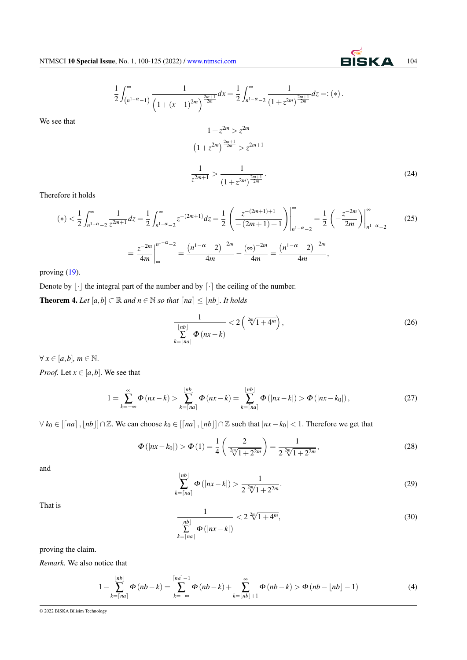### 1 2  $\int^{\infty}$  $(n^{1-\alpha}-1)$ 1  $\frac{1}{\left(1+(x-1)^{2m}\right)^{\frac{2m+1}{2m}}}dx=\frac{1}{2}$ 2  $\int^{\infty}$ *n* <sup>1</sup>−α−2 1  $\frac{1}{(1+z^{2m})^{\frac{2m+1}{2m}}}dz =: (*).$

We see that

$$
1 + z^{2m} > z^{2m}
$$
  
\n
$$
(1 + z^{2m})^{\frac{2m+1}{2m}} > z^{2m+1}
$$
  
\n
$$
\frac{1}{z^{2m+1}} > \frac{1}{(1 + z^{2m})^{\frac{2m+1}{2m}}}.
$$
\n(24)

Therefore it holds

$$
(*) < \frac{1}{2} \int_{n1-\alpha}^{\infty} \frac{1}{z^{2m+1}} dz = \frac{1}{2} \int_{n1-\alpha}^{\infty} z^{-(2m+1)} dz = \frac{1}{2} \left( \frac{z^{-(2m+1)+1}}{-(2m+1)+1} \right) \Big|_{n1-\alpha}^{\infty} = \frac{1}{2} \left( -\frac{z^{-2m}}{2m} \right) \Big|_{n1-\alpha}^{\infty}
$$
  

$$
= \frac{z^{-2m}}{4m} \Big|_{\infty}^{n1-\alpha-2} = \frac{\left( n^{1-\alpha} - 2 \right)^{-2m}}{4m} - \frac{\left( \infty \right)^{-2m}}{4m} = \frac{\left( n^{1-\alpha} - 2 \right)^{-2m}}{4m}, \tag{25}
$$

proving [\(19\)](#page-3-0).

Denote by  $\lfloor \cdot \rfloor$  the integral part of the number and by  $\lfloor \cdot \rfloor$  the ceiling of the number. **Theorem 4.** *Let*  $[a,b] \subset \mathbb{R}$  *and*  $n \in \mathbb{N}$  *so that*  $[na] \leq \lfloor nb \rfloor$ *. It holds* 

$$
\frac{1}{\sum_{k=\lceil na\rceil}^{\lfloor nb\rfloor}} \Phi(nx-k) < 2\left(\sqrt[2m]{1+4^m}\right),\tag{26}
$$

 $∀ x ∈ [a, b], m ∈ ℕ.$ 

*Proof.* Let  $x \in [a, b]$ . We see that

$$
1 = \sum_{k=-\infty}^{\infty} \Phi(nx-k) > \sum_{k=\lceil na \rceil}^{\lfloor nb \rfloor} \Phi(nx-k) = \sum_{k=\lceil na \rceil}^{\lfloor nb \rfloor} \Phi(|nx-k|) > \Phi(|nx-k_0|), \tag{27}
$$

 $∀ k<sub>0</sub> ∈ [[na], [nb]] ∩ \mathbb{Z}$ . We can choose  $k<sub>0</sub> ∈ [[na], [nb]] ∩ \mathbb{Z}$  such that  $|nx - k<sub>0</sub>| < 1$ . Therefore we get that

$$
\Phi(|nx - k_0|) > \Phi(1) = \frac{1}{4} \left( \frac{2}{\sqrt[2m]{1 + 2^{2m}}} \right) = \frac{1}{2 \sqrt[2m]{1 + 2^{2m}}},
$$
\n(28)

and

$$
\sum_{k=\lceil na \rceil}^{\lfloor nb \rfloor} \Phi(|nx - k|) > \frac{1}{2\sqrt[2m]{1 + 2^{2m}}}.
$$
\n(29)

That is

$$
\frac{1}{\sum_{k=\lceil na\rceil}^{\lfloor nb\rfloor}} < 2\sqrt[2m]{1+4^m},\tag{30}
$$

proving the claim.

*Remark.* We also notice that

$$
1 - \sum_{k=\lceil na \rceil}^{\lfloor nb \rfloor} \Phi\left(nb-k\right) = \sum_{k=-\infty}^{\lceil na \rceil - 1} \Phi\left(nb-k\right) + \sum_{k=\lfloor nb \rfloor + 1}^{\infty} \Phi\left(nb-k\right) > \Phi\left(nb-\lfloor nb \rfloor - 1) \tag{4}
$$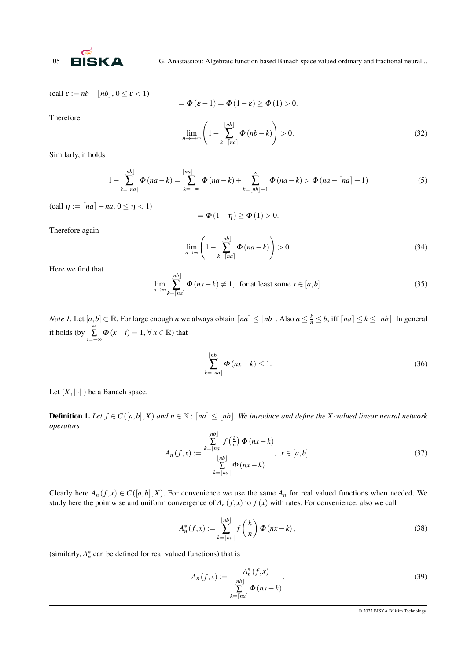

 $\text{(call } \varepsilon := nb - |nb|, 0 \leq \varepsilon < 1)$ 

$$
= \Phi(\varepsilon - 1) = \Phi(1 - \varepsilon) \ge \Phi(1) > 0.
$$

Therefore

$$
\lim_{n \to \infty} \left( 1 - \sum_{k=\lceil na \rceil}^{\lfloor nb \rfloor} \Phi(nb - k) \right) > 0. \tag{32}
$$

Similarly, it holds

$$
1 - \sum_{k=\lceil na \rceil}^{\lfloor nb \rfloor} \Phi\left( na - k \right) = \sum_{k=-\infty}^{\lceil na \rceil - 1} \Phi\left( na - k \right) + \sum_{k=\lfloor nb \rfloor + 1}^{\infty} \Phi\left( na - k \right) > \Phi\left( na - \lceil na \rceil + 1 \right) \tag{5}
$$

 $\text{(call } \eta := \lceil na \rceil - na, 0 \leq \eta < 1)$ 

$$
=\Phi\left( 1-\eta\right) \geq\Phi\left( 1\right) >0.
$$

Therefore again

$$
\lim_{n \to \infty} \left( 1 - \sum_{k=\lceil na \rceil}^{\lfloor nb \rfloor} \Phi\left( na - k \right) \right) > 0. \tag{34}
$$

Here we find that

$$
\lim_{n \to \infty} \sum_{k=\lceil na \rceil}^{\lfloor nb \rfloor} \Phi(nx-k) \neq 1, \text{ for at least some } x \in [a, b]. \tag{35}
$$

*Note 1*. Let  $[a,b] \subset \mathbb{R}$ . For large enough *n* we always obtain  $[na] \leq \lfloor nb \rfloor$ . Also  $a \leq \frac{k}{n} \leq b$ , iff  $[na] \leq k \leq \lfloor nb \rfloor$ . In general it holds (by  $\sum_{i=-\infty}^{\infty} \Phi(x - i) = 1, \forall x \in \mathbb{R}$ ) that

$$
\sum_{k=\lceil na \rceil}^{\lfloor nb \rfloor} \Phi(nx-k) \le 1. \tag{36}
$$

Let  $(X, \|\cdot\|)$  be a Banach space.

**Definition 1.** Let  $f \in C([a,b],X)$  and  $n \in \mathbb{N}$ : [na] ≤ |nb]. We introduce and define the X-valued linear neural network *operators*

$$
A_n(f,x) := \frac{\sum_{k=\lceil na \rceil}^{\lfloor nb \rfloor} f\left(\frac{k}{n}\right) \Phi\left(nx-k\right)}{\sum_{k=\lceil na \rceil}^{\lfloor nb \rfloor} \Phi\left(nx-k\right)}, \ x \in [a,b]. \tag{37}
$$

Clearly here  $A_n(f, x) \in C([a, b], X)$ . For convenience we use the same  $A_n$  for real valued functions when needed. We study here the pointwise and uniform convergence of  $A_n(f, x)$  to  $f(x)$  with rates. For convenience, also we call

$$
A_n^*(f, x) := \sum_{k=\lceil na \rceil}^{\lfloor nb \rfloor} f\left(\frac{k}{n}\right) \Phi(nx-k), \tag{38}
$$

(similarly,  $A_n^*$  can be defined for real valued functions) that is

$$
A_n(f,x) := \frac{A_n^*(f,x)}{\sum\limits_{k=\lceil na\rceil}^{[nb]}\Phi\left(nx-k\right)}.
$$
\n(39)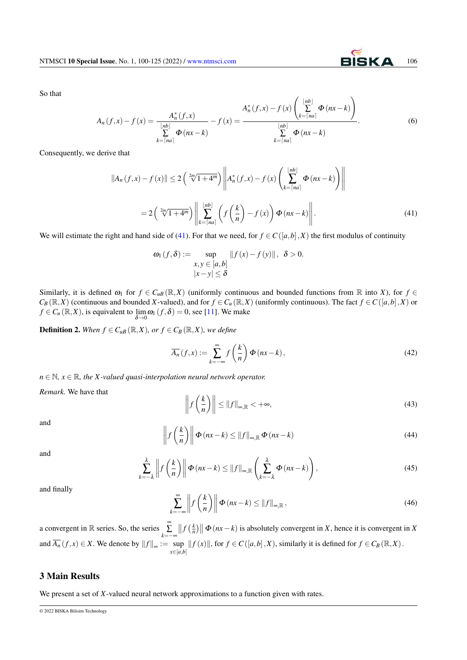So that

$$
A_n(f, x) - f(x) = \frac{A_n^*(f, x)}{\sum_{k = \lceil na \rceil}^{\lfloor nb \rfloor} \Phi(nx - k)} - f(x) = \frac{A_n^*(f, x) - f(x) \left(\sum_{k = \lceil na \rceil}^{\lfloor nb \rfloor} \Phi(nx - k)\right)}{\sum_{k = \lceil na \rceil}^{\lfloor nb \rfloor} \Phi(nx - k)}.
$$
(6)

 $\sqrt{2}$ 

Consequently, we derive that

$$
||A_n(f,x) - f(x)|| \le 2\left(\sqrt[2m]{1+4^m}\right) \left\| A_n^*(f,x) - f(x) \left( \sum_{k=\lceil na \rceil}^{\lfloor nb \rfloor} \Phi(nx-k) \right) \right\|
$$
  
= 2\left(\sqrt[2m]{1+4^m}\right) \left\| \sum\_{k=\lceil na \rceil}^{\lfloor nb \rfloor} \left( f\left(\frac{k}{n}\right) - f(x) \right) \Phi(nx-k) \right|. (41)

<span id="page-6-0"></span>We will estimate the right and hand side of [\(41\)](#page-6-0). For that we need, for  $f \in C([a,b],X)$  the first modulus of continuity

$$
\omega_1(f,\delta) := \sup_{\substack{x,y \in [a,b] \\ |x-y| \leq \delta}} ||f(x)-f(y)||, \ \delta > 0.
$$

Similarly, it is defined  $\omega_1$  for  $f \in C_{uB}(\mathbb{R}, X)$  (uniformly continuous and bounded functions from  $\mathbb R$  into *X*), for  $f \in C_{uB}(\mathbb{R}, X)$  $C_B(\mathbb{R}, X)$  (continuous and bounded *X*-valued), and for  $f \in C_u(\mathbb{R}, X)$  (uniformly continuous). The fact  $f \in C([a, b], X)$  or  $f \in C_u(\mathbb{R}, X)$ , is equivalent to  $\lim_{\delta \to 0} \omega_1(f, \delta) = 0$ , see [\[11\]](#page-25-12). We make

**Definition 2.** When  $f \in C_{uB}(\mathbb{R}, X)$ , or  $f \in C_B(\mathbb{R}, X)$ , we define

$$
\overline{A_n}(f,x) := \sum_{k=-\infty}^{\infty} f\left(\frac{k}{n}\right) \Phi(nx-k),\tag{42}
$$

 $n \in \mathbb{N}, x \in \mathbb{R},$  the X-valued quasi-interpolation neural network operator.

 $\ddot{\phantom{a}}$ 

*Remark.* We have that

$$
\left\| f\left(\frac{k}{n}\right) \right\| \le \|f\|_{\infty, \mathbb{R}} < +\infty,
$$
\n(43)

and

$$
\left\| f\left(\frac{k}{n}\right) \right\| \Phi\left(nx-k\right) \le \|f\|_{\infty, \mathbb{R}} \Phi\left(nx-k\right) \tag{44}
$$

and

$$
\sum_{k=-\lambda}^{\lambda} \left\| f\left(\frac{k}{n}\right) \right\| \Phi\left(nx-k\right) \le \|f\|_{\infty,\mathbb{R}} \left(\sum_{k=-\lambda}^{\lambda} \Phi\left(nx-k\right)\right),\tag{45}
$$

and finally

$$
\sum_{k=-\infty}^{\infty} \left\| f\left(\frac{k}{n}\right) \right\| \Phi\left(nx-k\right) \le \|f\|_{\infty, \mathbb{R}},\tag{46}
$$

a convergent in  $\mathbb R$  series. So, the series  $\sum_{k=-\infty}^{\infty}$  $|| f(\frac{k}{n}) || \Phi(nx-k)$  is absolutely convergent in *X*, hence it is convergent in *X* and  $\overline{A_n}(f, x) \in X$ . We denote by  $||f||_{\infty} := \sup$  $\sup_{x \in [a,b]}$   $|| f(x) ||$ , for *f* ∈ *C*([*a*,*b*],*X*), similarly it is defined for *f* ∈ *C<sub>B</sub>* (ℝ,*X*).

### 3 Main Results

<span id="page-6-1"></span>We present a set of *X*-valued neural network approximations to a function given with rates.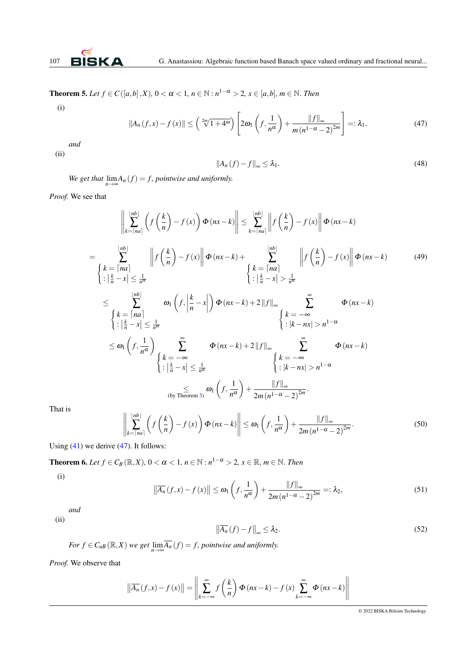**Theorem 5.** *Let f* ∈ *C*([*a*,*b*], *X*), 0 < *α* < 1, *n* ∈ N : *n*<sup>1−α</sup> > 2, *x* ∈ [*a*,*b*], *m* ∈ N. *Then* 

$$
\rm(i)
$$

$$
||A_n(f,x) - f(x)|| \leq \left(\sqrt[2m]{1+4^m}\right) \left[2\omega_1\left(f, \frac{1}{n^{\alpha}}\right) + \frac{||f||_{\infty}}{m(n^{1-\alpha}-2)^{2m}}\right] =: \lambda_1,
$$
\n(47)

*and* (ii)

$$
||A_n(f) - f||_{\infty} \le \lambda_1. \tag{48}
$$

*We get that*  $\lim_{n\to\infty} A_n(f) = f$ , pointwise and uniformly.

*Proof.* We see that

$$
\left\| \sum_{k= \lfloor na \rfloor}^{\lfloor nb \rfloor} \left( f \left( \frac{k}{n} \right) - f(x) \right) \Phi(nx-k) \right\| \leq \sum_{k= \lfloor na \rfloor}^{\lfloor nb \rfloor} \left\| f \left( \frac{k}{n} \right) - f(x) \right\| \Phi(nx-k)
$$
\n
$$
= \sum_{\begin{subarray}{l}k= \lceil na \rceil\\ \vdots \rceil & n \end{subarray}}^{\lfloor nb \rfloor} \left\| f \left( \frac{k}{n} \right) - f(x) \right\| \Phi(nx-k) + \sum_{\begin{subarray}{l}k= \lceil na \rceil\\ \vdots \rceil & n \end{subarray}}^{\lfloor nb \rfloor} \left\| f \left( \frac{k}{n} \right) - f(x) \right\| \Phi(nx-k) \qquad (49)
$$
\n
$$
\leq \sum_{\begin{subarray}{l}k= \lceil na \rceil\\ \vdots \rceil & n \end{subarray}}^{\lfloor nb \rfloor} \omega_1 \left( f, \left| \frac{k}{n} - x \right| \right) \Phi(nx-k) + 2 \left\| f \right\|_{\infty} \sum_{\begin{subarray}{l}k= -\infty\\ \vdots \rceil & n \end{subarray}}^{\infty} \Phi(nx-k)
$$
\n
$$
\leq \sum_{\begin{subarray}{l}k= \lceil na \rceil\\ \vdots \rceil & n \end{subarray}}^{\lfloor nb \rfloor} \omega_1 \left( f, \left| \frac{k}{n} - x \right| \right) \Phi(nx-k) + 2 \left\| f \right\|_{\infty} \sum_{\begin{subarray}{l}k= -\infty\\ \vdots \rceil & n \end{subarray}}^{\infty} \Phi(nx-k)
$$
\n
$$
\leq \omega_1 \left( f, \frac{1}{n^{\alpha}} \right) \sum_{\begin{subarray}{l}k= -\infty\\ \vdots \rceil & n \end{subarray}}^{\infty} \Phi(nx-k) + 2 \left\| f \right\|_{\infty} \sum_{\begin{subarray}{l}k= -\infty\\ \vdots \rceil & n \end{subarray}}^{\infty} \Phi(nx-k)
$$
\n
$$
\left\| \sum_{\begin{subarray}{l}k= -\infty\\ \vdots \rceil & n \end{subarray}}^{\lfloor nb \rfloor} \omega_1
$$

That is

$$
\left\| \sum_{k=\lceil na \rceil}^{\lfloor nb \rfloor} \left( f \left( \frac{k}{n} \right) - f \left( x \right) \right) \Phi \left( nx - k \right) \right\| \le \omega_1 \left( f, \frac{1}{n^{\alpha}} \right) + \frac{\| f \|_{\infty}}{2m \left( n^{1-\alpha} - 2 \right)^{2m}}.
$$
\n(50)

Using  $(41)$  we derive  $(47)$ . It follows:

**Theorem 6.** Let  $f \in C_B(\mathbb{R}, X)$ ,  $0 < \alpha < 1$ ,  $n \in \mathbb{N} : n^{1-\alpha} > 2$ ,  $x \in \mathbb{R}$ ,  $m \in \mathbb{N}$ . Then

(i)

$$
\left\| \overline{A_n}(f, x) - f(x) \right\| \le \omega_1 \left( f, \frac{1}{n^{\alpha}} \right) + \frac{\|f\|_{\infty}}{2m \left( n^{1-\alpha} - 2 \right)^{2m}} =: \lambda_2,
$$
\n(51)

*and* (ii)

$$
\left\| \overline{A_n}(f) - f \right\|_{\infty} \le \lambda_2. \tag{52}
$$

*For*  $f \in C_{uB}(\mathbb{R}, X)$  *we get*  $\lim_{n \to \infty} \overline{A_n}(f) = f$ , pointwise and uniformly.

*Proof.* We observe that

$$
\left\| \overline{A_n}(f, x) - f(x) \right\| = \left\| \sum_{k=-\infty}^{\infty} f\left(\frac{k}{n}\right) \Phi\left(nx - k\right) - f(x) \sum_{k=-\infty}^{\infty} \Phi\left(nx - k\right) \right\|
$$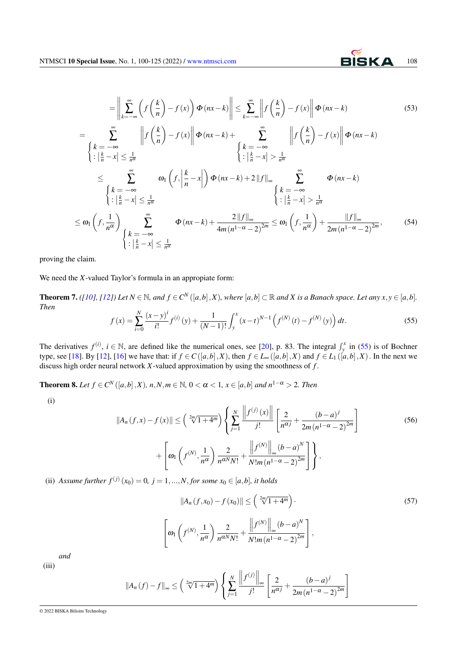$$
= \left\| \sum_{k=-\infty}^{\infty} \left( f\left( \frac{k}{n} \right) - f(x) \right) \Phi(nx - k) \right\| \le \sum_{k=-\infty}^{\infty} \left\| f\left( \frac{k}{n} \right) - f(x) \right\| \Phi(nx - k)
$$
(53)

$$
= \sum_{\begin{cases}k=-\infty\\k\neq -\infty\end{cases}}^{\infty} \left\|f\left(\frac{k}{n}\right)-f(x)\right\| \Phi(nx-k)+\sum_{\begin{cases}k=-\infty\\k\neq -\infty\end{cases}}^{\infty} \left\|f\left(\frac{k}{n}\right)-f(x)\right\| \Phi(nx-k)
$$
\n
$$
\begin{cases}k=-\infty\\k=-\infty\end{cases} \quad \omega_1\left(f,\left|\frac{k}{n}-x\right|\right) \Phi(nx-k)+2\|f\|_{\infty}\sum_{\begin{cases}k=-\infty\\k\neq -\infty\end{cases}}^{\infty} \Phi(nx-k)
$$
\n
$$
\begin{cases}k=-\infty\\k\neq -\infty\end{cases} \left\{\begin{cases}k=-\infty\\k\neq -\infty\end{cases}\right\} \quad \begin{cases}k=-\infty\\k\neq -\infty\end{cases} \quad \left\{\begin{cases}k=-\infty\\k\neq -\infty\end{cases}\right\} \quad \omega_1\left(f,\frac{1}{n^{\alpha}}\right) \sum_{\begin{cases}k=-\infty\\k\neq -\infty\end{cases}}^{\infty} \Phi(nx-k)+\frac{2\|f\|_{\infty}}{4m(n^{1-\alpha}-2)^{2m}} \leq \omega_1\left(f,\frac{1}{n^{\alpha}}\right) + \frac{\|f\|_{\infty}}{2m(n^{1-\alpha}-2)^{2m}},\tag{54}
$$

proving the claim.

We need the *X*-valued Taylor's formula in an appropiate form:

**Theorem 7.** ([\[10\]](#page-25-13), [\[12\]](#page-25-14)) Let  $N \in \mathbb{N}$ , and  $f \in C^N([a,b],X)$ , where  $[a,b] \subset \mathbb{R}$  and X is a Banach space. Let any  $x, y \in [a,b]$ . *Then*

$$
f(x) = \sum_{i=0}^{N} \frac{(x-y)^i}{i!} f^{(i)}(y) + \frac{1}{(N-1)!} \int_{y}^{x} (x-t)^{N-1} \left( f^{(N)}(t) - f^{(N)}(y) \right) dt.
$$
 (55)

The derivatives  $f^{(i)}$ ,  $i \in \mathbb{N}$ , are defined like the numerical ones, see [\[20\]](#page-25-15), p. 83. The integral  $\int_{y}^{x}$  in [\(55\)](#page-6-0) is of Bochner type, see [\[18\]](#page-25-16). By [\[12\]](#page-25-14), [\[16\]](#page-25-17) we have that: if  $f \in C([a,b],X)$ , then  $f \in L_{\infty}([a,b],X)$  and  $f \in L_1([a,b],X)$ . In the next we discuss high order neural network *X*-valued approximation by using the smoothness of *f* .

<span id="page-8-0"></span>**Theorem 8.** Let  $f$  ∈  $C^N$  ([a, b], X), n, N, m ∈ ℕ, 0 < α < 1,  $x$  ∈ [a, b] and  $n^{1-α} > 2$ . Then

(i)

$$
||A_n(f, x) - f(x)|| \leq \left(\sqrt[2m]{1+4^m}\right) \left\{ \sum_{j=1}^N \frac{||f^{(j)}(x)||}{j!} \left[\frac{2}{n^{\alpha j}} + \frac{(b-a)^j}{2m(n^{1-\alpha}-2)^{2m}}\right] + \left[\omega_1\left(f^{(N)}, \frac{1}{n^{\alpha}}\right) \frac{2}{n^{\alpha N} N!} + \frac{||f^{(N)}||_{\infty} (b-a)^N}{N! m (n^{1-\alpha}-2)^{2m}}\right] \right\},
$$
\n(56)

(ii) *Assume further*  $f^{(j)}(x_0) = 0$ ,  $j = 1, ..., N$ , *for some*  $x_0 \in [a, b]$ , *it holds* 

$$
||A_n(f, x_0) - f(x_0)|| \leq \left(\sqrt[2m]{1+4^m}\right).
$$
\n
$$
\left[\omega_1\left(f^{(N)}, \frac{1}{n^{\alpha}}\right) \frac{2}{n^{\alpha N} N!} + \frac{\left\|f^{(N)}\right\|_{\infty} (b-a)^N}{N! m (n^{1-\alpha}-2)^{2m}}\right],
$$
\n(57)

*and* (iii)

$$
||A_n(f) - f||_{\infty} \le \left(\sqrt[2m]{1+4^m}\right) \left\{ \sum_{j=1}^N \frac{\left\|f^{(j)}\right\|_{\infty}}{j!} \left[\frac{2}{n^{\alpha j}} + \frac{(b-a)^j}{2m(n^{1-\alpha}-2)^{2m}}\right] \right\}
$$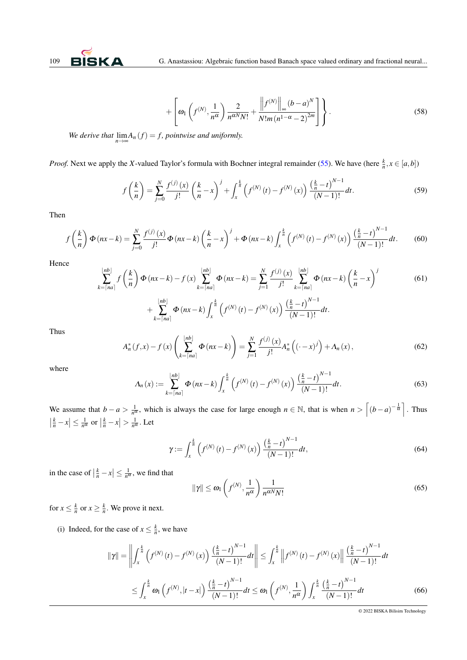$$
+ \left[ \omega_1 \left( f^{(N)}, \frac{1}{n^{\alpha}} \right) \frac{2}{n^{\alpha N} N!} + \frac{\left\| f^{(N)} \right\|_{\infty} (b-a)^N}{N! m (n^{1-\alpha} - 2)^{2m}} \right] \right\}.
$$
 (58)

*We derive that*  $\lim_{n\to\infty} A_n(f) = f$ , pointwise and uniformly.

*Proof.* Next we apply the *X*-valued Taylor's formula with Bochner integral remainder [\(55\)](#page-6-0). We have (here  $\frac{k}{n}$ ,  $x \in [a,b]$ )

$$
f\left(\frac{k}{n}\right) = \sum_{j=0}^{N} \frac{f^{(j)}(x)}{j!} \left(\frac{k}{n} - x\right)^j + \int_x^{\frac{k}{n}} \left(f^{(N)}(t) - f^{(N)}(x)\right) \frac{\left(\frac{k}{n} - t\right)^{N-1}}{(N-1)!} dt.
$$
 (59)

Then

$$
f\left(\frac{k}{n}\right)\Phi\left(nx-k\right) = \sum_{j=0}^{N} \frac{f^{(j)}(x)}{j!} \Phi\left(nx-k\right) \left(\frac{k}{n}-x\right)^{j} + \Phi\left(nx-k\right) \int_{x}^{\frac{k}{n}} \left(f^{(N)}(t) - f^{(N)}(x)\right) \frac{\left(\frac{k}{n}-t\right)^{N-1}}{(N-1)!} dt. \tag{60}
$$

Hence

$$
\sum_{k=\lceil na \rceil}^{\lfloor nb \rfloor} f\left(\frac{k}{n}\right) \Phi\left(nx-k\right) - f\left(x\right) \sum_{k=\lceil na \rceil}^{\lfloor nb \rfloor} \Phi\left(nx-k\right) = \sum_{j=1}^{N} \frac{f^{(j)}(x)}{j!} \sum_{k=\lceil na \rceil}^{\lfloor nb \rfloor} \Phi\left(nx-k\right) \left(\frac{k}{n}-x\right)^{j}
$$
(61)  
+ 
$$
\sum_{k=\lceil na \rceil}^{\lfloor nb \rfloor} \Phi\left(nx-k\right) \int_{x}^{\frac{k}{n}} \left(f^{(N)}(t) - f^{(N)}(x)\right) \frac{\left(\frac{k}{n}-t\right)^{N-1}}{(N-1)!} dt.
$$

Thus

$$
A_n^*(f, x) - f(x) \left( \sum_{k=\lceil na \rceil}^{\lfloor nb \rfloor} \Phi(nx-k) \right) = \sum_{j=1}^N \frac{f^{(j)}(x)}{j!} A_n^* \left( (-x)^j \right) + \Lambda_n(x), \tag{62}
$$

where

$$
\Lambda_n(x) := \sum_{k=\lceil na \rceil}^{\lfloor nb \rfloor} \Phi\left(nx-k\right) \int_x^{\frac{k}{n}} \left(f^{(N)}\left(t\right) - f^{(N)}\left(x\right)\right) \frac{\left(\frac{k}{n} - t\right)^{N-1}}{(N-1)!} dt. \tag{63}
$$

We assume that  $b - a > \frac{1}{n^{\alpha}}$ , which is always the case for large enough  $n \in \mathbb{N}$ , that is when  $n > \left[ (b - a)^{-\frac{1}{\alpha}} \right]$ . Thus  $\left| \frac{k}{n} - x \right| \leq \frac{1}{n^{\alpha}} \text{ or } \left| \frac{k}{n} - x \right| > \frac{1}{n^{\alpha}}$ . Let

$$
\gamma := \int_{x}^{\frac{k}{n}} \left( f^{(N)}(t) - f^{(N)}(x) \right) \frac{\left( \frac{k}{n} - t \right)^{N-1}}{(N-1)!} dt,
$$
\n(64)

in the case of  $\left|\frac{k}{n} - x\right| \le \frac{1}{n^{\alpha}}$ , we find that

$$
\|\gamma\| \le \omega_1 \left(f^{(N)}, \frac{1}{n^{\alpha}}\right) \frac{1}{n^{\alpha N} N!}
$$
\n(65)

for  $x \leq \frac{k}{n}$  or  $x \geq \frac{k}{n}$ . We prove it next.

(i) Indeed, for the case of  $x \leq \frac{k}{n}$ , we have

$$
\|\gamma\| = \left\| \int_{x}^{\frac{k}{n}} \left( f^{(N)}(t) - f^{(N)}(x) \right) \frac{\left( \frac{k}{n} - t \right)^{N-1}}{(N-1)!} dt \right\| \leq \int_{x}^{\frac{k}{n}} \left\| f^{(N)}(t) - f^{(N)}(x) \right\| \frac{\left( \frac{k}{n} - t \right)^{N-1}}{(N-1)!} dt
$$
  

$$
\leq \int_{x}^{\frac{k}{n}} \omega_1 \left( f^{(N)}, |t - x| \right) \frac{\left( \frac{k}{n} - t \right)^{N-1}}{(N-1)!} dt \leq \omega_1 \left( f^{(N)}, \frac{1}{n^{\alpha}} \right) \int_{x}^{\frac{k}{n}} \frac{\left( \frac{k}{n} - t \right)^{N-1}}{(N-1)!} dt
$$
(66)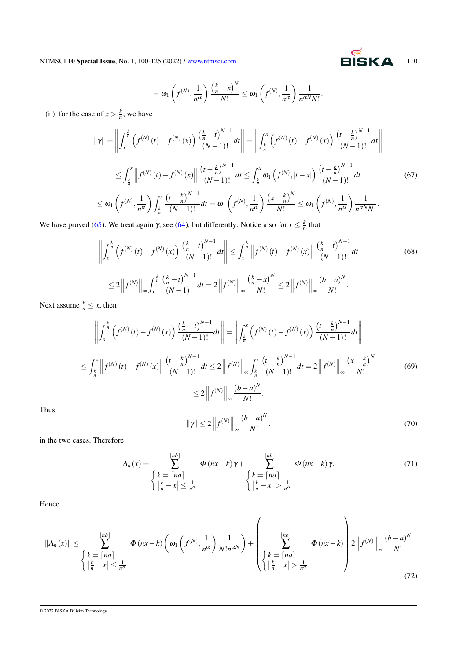### $= \omega_1 \left( f^{(N)}, \frac{1}{\omega} \right)$ *n* α  $\left(\frac{k}{n} - x\right)^N$  $\frac{(-x)^{N}}{N!} \leq \omega_1 \left(f^{(N)}, \frac{1}{n^{\alpha}}\right)$ *n* α  $\setminus$  1  $\frac{1}{n^{\alpha N}N!}$

(ii) for the case of  $x > \frac{k}{n}$ , we have

$$
\|\gamma\| = \left\| \int_{x}^{\frac{k}{n}} \left( f^{(N)}(t) - f^{(N)}(x) \right) \frac{\left( \frac{k}{n} - t \right)^{N-1}}{(N-1)!} dt \right\| = \left\| \int_{\frac{k}{n}}^{x} \left( f^{(N)}(t) - f^{(N)}(x) \right) \frac{\left( t - \frac{k}{n} \right)^{N-1}}{(N-1)!} dt \right\|
$$
  

$$
\leq \int_{\frac{k}{n}}^{x} \left\| f^{(N)}(t) - f^{(N)}(x) \right\| \frac{\left( t - \frac{k}{n} \right)^{N-1}}{(N-1)!} dt \leq \int_{\frac{k}{n}}^{x} \omega_1 \left( f^{(N)}, |t - x| \right) \frac{\left( t - \frac{k}{n} \right)^{N-1}}{(N-1)!} dt \qquad (67)
$$
  

$$
\leq \omega_1 \left( f^{(N)}, \frac{1}{n^{\alpha}} \right) \int_{\frac{k}{n}}^{x} \frac{\left( t - \frac{k}{n} \right)^{N-1}}{(N-1)!} dt = \omega_1 \left( f^{(N)}, \frac{1}{n^{\alpha}} \right) \frac{\left( x - \frac{k}{n} \right)^N}{N!} \leq \omega_1 \left( f^{(N)}, \frac{1}{n^{\alpha}} \right) \frac{1}{n^{\alpha N} N!} .
$$

We have proved [\(65\)](#page-6-0). We treat again  $\gamma$ , see [\(64\)](#page-6-0), but differently: Notice also for  $x \leq \frac{k}{n}$  that

$$
\left\| \int_{x}^{\frac{k}{n}} \left( f^{(N)}(t) - f^{(N)}(x) \right) \frac{\left( \frac{k}{n} - t \right)^{N-1}}{(N-1)!} dt \right\| \leq \int_{x}^{\frac{k}{n}} \left\| f^{(N)}(t) - f^{(N)}(x) \right\| \frac{\left( \frac{k}{n} - t \right)^{N-1}}{(N-1)!} dt
$$
\n
$$
\leq 2 \left\| f^{(N)} \right\|_{\infty} \int_{x}^{\frac{k}{n}} \frac{\left( \frac{k}{n} - t \right)^{N-1}}{(N-1)!} dt = 2 \left\| f^{(N)} \right\|_{\infty} \frac{\left( \frac{k}{n} - x \right)^{N}}{N!} \leq 2 \left\| f^{(N)} \right\|_{\infty} \frac{\left( b - a \right)^{N}}{N!} .
$$
\n(68)

Next assume  $\frac{k}{n} \leq x$ , then

$$
\left\| \int_{x}^{\frac{k}{n}} \left( f^{(N)}(t) - f^{(N)}(x) \right) \frac{\left( \frac{k}{n} - t \right)^{N-1}}{(N-1)!} dt \right\| = \left\| \int_{\frac{k}{n}}^{x} \left( f^{(N)}(t) - f^{(N)}(x) \right) \frac{\left( t - \frac{k}{n} \right)^{N-1}}{(N-1)!} dt \right\|
$$
  

$$
\leq \int_{\frac{k}{n}}^{x} \left\| f^{(N)}(t) - f^{(N)}(x) \right\| \frac{\left( t - \frac{k}{n} \right)^{N-1}}{(N-1)!} dt \leq 2 \left\| f^{(N)} \right\|_{\infty} \int_{\frac{k}{n}}^{x} \frac{\left( t - \frac{k}{n} \right)^{N-1}}{(N-1)!} dt = 2 \left\| f^{(N)} \right\|_{\infty} \frac{\left( x - \frac{k}{n} \right)^{N}}{N!}
$$
  

$$
\leq 2 \left\| f^{(N)} \right\|_{\infty} \frac{\left( b - a \right)^{N}}{N!}.
$$
 (69)

Thus

$$
\|\gamma\| \le 2 \left\| f^{(N)} \right\|_{\infty} \frac{\left(b-a\right)^N}{N!}.
$$
\n<sup>(70)</sup>

in the two cases. Therefore

$$
\Lambda_n(x) = \sum_{\begin{cases}k = \lceil na \rceil\\ \lfloor \frac{k}{n} - x \rfloor \leq \frac{1}{n^{\alpha}} \end{cases}}^{\lfloor nb \rfloor} \Phi(nx - k)\gamma + \sum_{\begin{cases}k = \lceil na \rceil\\ \lceil \frac{k}{n} - x \rceil \leq \frac{1}{n^{\alpha}} \end{cases}}^{\lfloor nb \rfloor} \Phi(nx - k)\gamma. \tag{71}
$$

Hence

$$
\|\Lambda_n(x)\| \le \sum_{\begin{cases}k = \lceil na \rceil \\ \lceil \frac{k}{n} - x \rceil \le \frac{1}{n^{\alpha}}\end{cases}}^{\lfloor nb \rfloor} \Phi(nx-k) \left( \omega_1 \left( f^{(N)}, \frac{1}{n^{\alpha}} \right) \frac{1}{N!n^{\alpha N}} \right) + \left( \sum_{\begin{cases}k = \lceil na \rceil \\ \lceil \frac{k}{n} - x \rceil > \frac{1}{n^{\alpha}}\end{cases}}^{\lfloor nb \rfloor} \Phi(nx-k) \right) 2 \left\| f^{(N)} \right\|_{\infty} \frac{(b-a)^N}{N!} \tag{72}
$$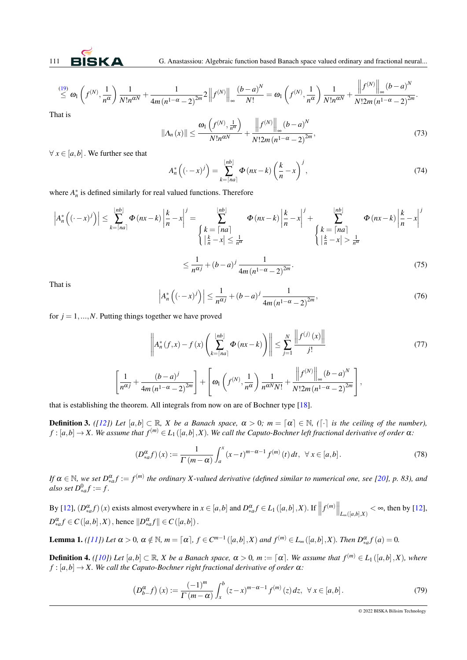111 BISK A G. Anastassiou: Algebraic function based Banach space valued ordinary and fractional neural...

 $\mathbf{H}^{\mathrm{c}}$ 

 $\overline{11}$ 

$$
\stackrel{(19)}{\leq} \omega_1\left(f^{(N)},\frac{1}{n^{\alpha}}\right)\frac{1}{N!n^{\alpha N}}+\frac{1}{4m(n^{1-\alpha}-2)^{2m}}2\left\|f^{(N)}\right\|_{\infty}\frac{\left(b-a\right)^N}{N!}=\omega_1\left(f^{(N)},\frac{1}{n^{\alpha}}\right)\frac{1}{N!n^{\alpha N}}+\frac{\left\|f^{(N)}\right\|_{\infty}\left(b-a\right)^N}{N!2m(n^{1-\alpha}-2)^{2m}}.
$$

That is

$$
\|\Lambda_n(x)\| \le \frac{\omega_1\left(f^{(N)}, \frac{1}{n^{\alpha}}\right)}{N!n^{\alpha N}} + \frac{\left\|f^{(N)}\right\|_{\infty}(b-a)^N}{N!2m\left(n^{1-\alpha}-2\right)^{2m}},\tag{73}
$$

 $\forall x \in [a, b]$ . We further see that

$$
A_n^* \left( (\cdot - x)^j \right) = \sum_{k=\lceil na \rceil}^{\lfloor nb \rfloor} \Phi \left( nx - k \right) \left( \frac{k}{n} - x \right)^j, \tag{74}
$$

where  $A_n^*$  is defined similarly for real valued functions. Therefore

$$
\left| A_n^* \left( (\cdot - x)^j \right) \right| \leq \sum_{k=\lceil na \rceil}^{\lfloor nb \rfloor} \Phi(nx-k) \left| \frac{k}{n} - x \right|^j = \sum_{\begin{cases} k=\lceil na \rceil\\ \lceil na \rceil \end{cases}}^{\lfloor nb \rfloor} \Phi(nx-k) \left| \frac{k}{n} - x \right|^j + \sum_{\begin{cases} k=\lceil na \rceil\\ \lceil na \rceil \end{cases}}^{\lfloor nb \rfloor} \Phi(nx-k) \left| \frac{k}{n} - x \right|^j
$$
  

$$
\leq \frac{1}{n^{\alpha j}} + (b-a)^j \frac{1}{4m(n^{1-\alpha}-2)^{2m}}.
$$
 (75)

That is

$$
\left| A_n^* \left( (-x)^j \right) \right| \le \frac{1}{n^{\alpha j}} + (b - a)^j \frac{1}{4m \left( n^{1 - \alpha} - 2 \right)^{2m}},\tag{76}
$$

for  $j = 1, ..., N$ . Putting things together we have proved

$$
\left\| A_n^*(f, x) - f(x) \left( \sum_{k=\lceil na \rceil}^{\lfloor nb \rfloor} \Phi(nx-k) \right) \right\| \le \sum_{j=1}^N \frac{\left\| f^{(j)}(x) \right\|}{j!}
$$
\n
$$
\left[ \frac{1}{n^{\alpha j}} + \frac{(b-a)^j}{4m(n^{1-\alpha}-2)^{2m}} \right] + \left[ \omega_1 \left( f^{(N)}, \frac{1}{n^{\alpha}} \right) \frac{1}{n^{\alpha N} N!} + \frac{\left\| f^{(N)} \right\|_{\infty} (b-a)^N}{N! 2m (n^{1-\alpha}-2)^{2m}} \right],
$$
\n(77)

that is establishing the theorem. All integrals from now on are of Bochner type [\[18\]](#page-25-16).

**Definition 3.** *([\[12\]](#page-25-14))* Let  $[a,b] \subset \mathbb{R}$ , X be a Banach space,  $\alpha > 0$ ;  $m = [\alpha] \in \mathbb{N}$ , ( $[\cdot]$  is the ceiling of the number),  $f:[a,b]\to X$ . We assume that  $f^{(m)}\in L_1([a,b],X)$ . We call the Caputo-Bochner left fractional derivative of order  $\alpha$ :

$$
(D_{*a}^{\alpha} f)(x) := \frac{1}{\Gamma(m-\alpha)} \int_{a}^{x} (x-t)^{m-\alpha-1} f^{(m)}(t) dt, \ \forall \ x \in [a,b].
$$
 (78)

*If*  $\alpha \in \mathbb{N}$ , we set  $D_{*a}^{\alpha} f := f^{(m)}$  the ordinary X-valued derivative (defined similar to numerical one, see [\[20\]](#page-25-15), p. 83), and  $also$  set  $D_{*a}^0 f := f$ .

By [\[12\]](#page-25-14),  $(D_{*a}^{\alpha} f)(x)$  exists almost everywhere in  $x \in [a,b]$  and  $D_{*a}^{\alpha} f \in L_1([a,b],X)$ . If  $||f^{(m)}||_{L_{\infty}([a,b],X)} < \infty$ , then by [12],  $D_{*a}^{\alpha} f \in C([a,b],X)$ , hence  $||D_{*a}^{\alpha} f|| \in C([a,b])$ .

**Lemma 1.** ([\[11\]](#page-25-12)) Let  $\alpha > 0$ ,  $\alpha \notin \mathbb{N}$ ,  $m = [\alpha]$ ,  $f \in C^{m-1}([a,b],X)$  and  $f^{(m)} \in L_{\infty}([a,b],X)$ . Then  $D_{*a}^{\alpha} f(a) = 0$ .

**Definition 4.** *([\[10\]](#page-25-13)) Let*  $[a,b] \subset \mathbb{R}$ *, X be a Banach space,*  $\alpha > 0$ *, m* :=  $[\alpha]$ *. We assume that*  $f^{(m)} \in L_1([a,b],X)$ *, where*  $f : [a,b] \rightarrow X$ . We call the Caputo-Bochner right fractional derivative of order  $\alpha$ :

$$
\left(D_{b-}^{\alpha}f\right)(x) := \frac{(-1)^{m}}{\Gamma(m-\alpha)} \int_{x}^{b} (z-x)^{m-\alpha-1} f^{(m)}(z) dz, \ \forall \ x \in [a,b]. \tag{79}
$$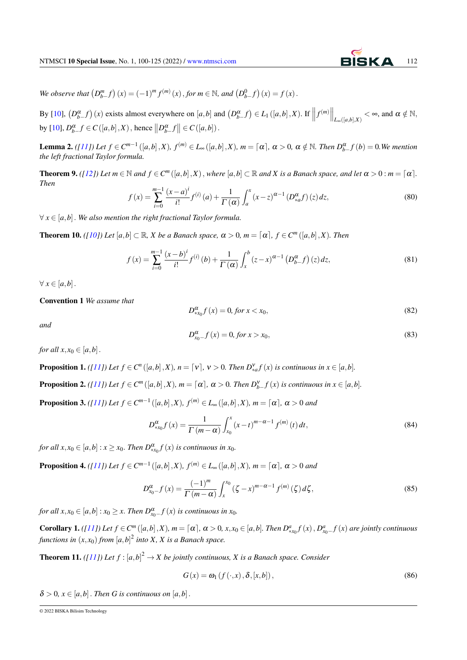*We observe that*  $(D_{b-}^{m} f)(x) = (-1)^{m} f^{(m)}(x)$ , *for*  $m \in \mathbb{N}$ , *and*  $(D_{b-}^{0} f)(x) = f(x)$ .

By [\[10\]](#page-25-13),  $(D_{b-}^{\alpha}f)(x)$  exists almost everywhere on  $[a,b]$  and  $(D_{b-}^{\alpha}f) \in L_1([a,b],X)$ . If  $||f^{(m)}||_{L_{\infty}([a,b],X)} < \infty$ , and  $\alpha \notin \mathbb{N}$ , by [\[10\]](#page-25-13),  $D_{b-}^{\alpha} f \in C([a,b],X)$ , hence  $||D_{b-}^{\alpha} f|| \in C([a,b])$ .

**Lemma 2.** ([\[11\]](#page-25-12)) Let  $f \in C^{m-1}([a,b],X)$ ,  $f^{(m)} \in L_{\infty}([a,b],X)$ ,  $m = [\alpha]$ ,  $\alpha > 0$ ,  $\alpha \notin \mathbb{N}$ . Then  $D_{b-}^{\alpha}f(b) = 0$ . We mention *the left fractional Taylor formula.*

<span id="page-12-0"></span>**Theorem 9.** *([\[12\]](#page-25-14)) Let*  $m \in \mathbb{N}$  and  $f \in C^m([a,b],X)$ , where  $[a,b] \subset \mathbb{R}$  and X is a Banach space, and let  $\alpha > 0$ :  $m = [\alpha]$ . *Then*

$$
f(x) = \sum_{i=0}^{m-1} \frac{(x-a)^i}{i!} f^{(i)}(a) + \frac{1}{\Gamma(\alpha)} \int_a^x (x-z)^{\alpha-1} (D_{*a}^{\alpha} f)(z) dz,
$$
 (80)

∀ *x* ∈ [*a*,*b*]. *We also mention the right fractional Taylor formula.*

<span id="page-12-1"></span>**Theorem 10.** *([\[10\]](#page-25-13)) Let*  $[a,b] \subset \mathbb{R}$ *, X be a Banach space,*  $\alpha > 0$ *,*  $m = [\alpha]$ *,*  $f \in C^m([a,b],X)$ *. Then* 

$$
f(x) = \sum_{i=0}^{m-1} \frac{(x-b)^i}{i!} f^{(i)}(b) + \frac{1}{\Gamma(\alpha)} \int_x^b (z-x)^{\alpha-1} (D_{b-}^{\alpha} f)(z) dz,
$$
 (81)

 $\forall x \in [a,b]$ .

Convention 1 *We assume that*

$$
D_{\ast x_0}^{\alpha} f(x) = 0, \text{ for } x < x_0,\tag{82}
$$

*and*

$$
D_{x_0}^{\alpha} f(x) = 0, \text{ for } x > x_0,
$$
\n(83)

*for all*  $x, x_0 \in [a, b]$ .

**Proposition 1.** ([\[11\]](#page-25-12)) Let  $f \in C^n([a,b],X)$ ,  $n = \lceil v \rceil$ ,  $v > 0$ . Then  $D_{*a}^{\vee} f(x)$  is continuous in  $x \in [a,b]$ .

**Proposition 2.** ([\[11\]](#page-25-12)) Let  $f \in C^m([a,b],X)$ ,  $m = [\alpha]$ ,  $\alpha > 0$ . Then  $D_{b-}^{\gamma}f(x)$  is continuous in  $x \in [a,b]$ .

**Proposition 3.** *(*[\[11\]](#page-25-12)) Let  $f \in C^{m-1}([a,b],X)$ ,  $f^{(m)} \in L_{\infty}([a,b],X)$ ,  $m = \lceil \alpha \rceil$ ,  $\alpha > 0$  and

$$
D_{*x_0}^{\alpha} f(x) = \frac{1}{\Gamma(m-\alpha)} \int_{x_0}^{x} (x-t)^{m-\alpha-1} f^{(m)}(t) dt,
$$
\n(84)

*for all*  $x, x_0 \in [a, b]$  :  $x \ge x_0$ . *Then*  $D_{\alpha}^{\alpha} f(x)$  *is continuous in*  $x_0$ .

**Proposition 4.** *([\[11\]](#page-25-12))* Let  $f \in C^{m-1}([a,b],X)$ ,  $f^{(m)} \in L_{\infty}([a,b],X)$ ,  $m = [\alpha], \alpha > 0$  and

$$
D_{x_0}^{\alpha} - f(x) = \frac{(-1)^m}{\Gamma(m - \alpha)} \int_x^{x_0} (\zeta - x)^{m - \alpha - 1} f^{(m)}(\zeta) d\zeta,
$$
 (85)

*for all*  $x, x_0 \in [a, b]$  :  $x_0 \ge x$ . *Then*  $D_{x_0}^{\alpha}$  *f* (*x*) *is continuous in*  $x_0$ .

**Corollary 1.** ([\[11\]](#page-25-12)) Let  $f \in C^m([a,b],X)$ ,  $m = [\alpha]$ ,  $\alpha > 0$ ,  $x, x_0 \in [a,b]$ . Then  $D_{\alpha x_0}^a f(x)$ ,  $D_{x_0}^a f(x)$  are jointly continuous functions in  $(x, x_0)$  from  $[a, b]^2$  into X, X is a Banach space.

**Theorem 11.** *([\[11\]](#page-25-12))* Let  $f$  :  $[a,b]^2 \to X$  be jointly continuous, X is a Banach space. Consider

$$
G(x) = \omega_1(f(\cdot, x), \delta, [x, b]),
$$
\n(86)

 $\delta > 0, x \in [a, b]$ . Then G is continuous on  $[a, b]$ .

<sup>© 2022</sup> BISKA Bilisim Technology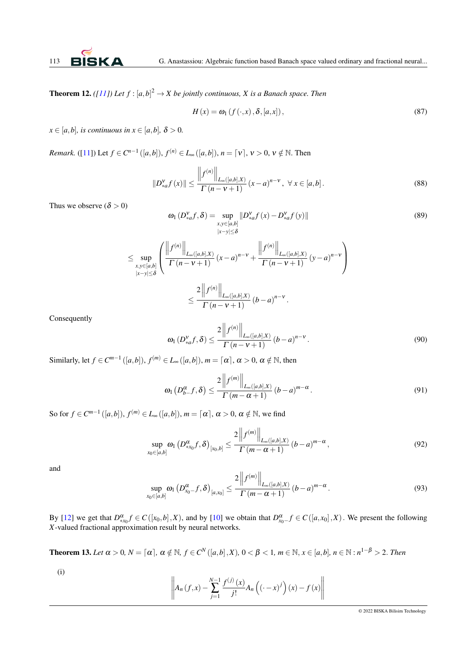**Theorem 12.** *([\[11\]](#page-25-12)) Let*  $f$  :  $[a,b]^2 \rightarrow X$  *be jointly continuous, X is a Banach space. Then* 

$$
H(x) = \omega_1(f(\cdot, x), \delta, [a, x]), \qquad (87)
$$

 $x \in [a,b]$ *, is continuous in*  $x \in [a,b]$ *,*  $\delta > 0$ *.* 

*Remark.* ([\[11\]](#page-25-12)) Let  $f \in C^{n-1}([a,b]), f^{(n)} \in L_{\infty}([a,b]), n = [v], v > 0, v \notin \mathbb{N}$ . Then

$$
||D_{*a}^{V} f(x)|| \le \frac{||f^{(n)}||_{L_{\infty}([a,b],X)}}{\Gamma(n-v+1)} (x-a)^{n-v}, \ \forall \ x \in [a,b].
$$
 (88)

Thus we observe  $(\delta > 0)$ 

$$
\omega_1(D_{*a}^V f, \delta) = \sup_{\substack{x, y \in [a, b] \\ |x - y| \le \delta}} \|D_{*a}^V f(x) - D_{*a}^V f(y)\|
$$
\n(89)

$$
\leq \sup_{\substack{x,y\in [a,b] \\ |x-y|\leq \delta}} \left( \frac{\left\| f^{(n)} \right\|_{L_{\infty}([a,b],X)}}{\Gamma(n-\nu+1)} (x-a)^{n-\nu} + \frac{\left\| f^{(n)} \right\|_{L_{\infty}([a,b],X)}}{\Gamma(n-\nu+1)} (y-a)^{n-\nu} \right)
$$
  

$$
\leq \frac{2 \left\| f^{(n)} \right\|_{L_{\infty}([a,b],X)}}{\Gamma(n-\nu+1)} (b-a)^{n-\nu}.
$$

Consequently

$$
\omega_1(D_{*a}^{\nu}f,\delta) \le \frac{2\left\|f^{(n)}\right\|_{L_{\infty}([a,b],X)}}{\Gamma(n-\nu+1)}\left(b-a\right)^{n-\nu}.
$$
\n(90)

Similarly, let  $f \in C^{m-1}([a,b]),$   $f^{(m)} \in L_{\infty}([a,b]),$   $m = \lceil \alpha \rceil, \alpha > 0, \alpha \notin \mathbb{N}$ , then

$$
\omega_1\left(D_{b-}^{\alpha}f,\delta\right) \le \frac{2\left\|f^{(m)}\right\|_{L_{\infty}\left([a,b],X\right)}}{\Gamma\left(m-\alpha+1\right)}\left(b-a\right)^{m-\alpha}.
$$
\n(91)

So for  $f \in C^{m-1}([a,b]),$   $f^{(m)} \in L_\infty([a,b]),$   $m = [\alpha], \alpha > 0, \alpha \notin \mathbb{N}$ , we find

$$
\sup_{x_0 \in [a,b]} \omega_1\left(D^{\alpha}_{*x_0}f,\delta\right)_{[x_0,b]} \leq \frac{2\left\|f^{(m)}\right\|_{L_{\infty}([a,b],X)}}{\Gamma\left(m-\alpha+1\right)}\left(b-a\right)^{m-\alpha},\tag{92}
$$

and

$$
\sup_{x_0 \in [a,b]} \omega_1\left(D_{x_0}^{\alpha} - f, \delta\right)_{[a,x_0]} \le \frac{2\left\|f^{(m)}\right\|_{L_\infty([a,b],X)}}{\Gamma\left(m - \alpha + 1\right)}\left(b - a\right)^{m - \alpha}.
$$
\n(93)

By [\[12\]](#page-25-14) we get that  $D_{*x_0}^{\alpha} f \in C([x_0,b],X)$ , and by [\[10\]](#page-25-13) we obtain that  $D_{x_0}^{\alpha} f \in C([a,x_0],X)$ . We present the following *X*-valued fractional approximation result by neural networks.

<span id="page-13-0"></span>**Theorem 13.** Let  $\alpha > 0$ ,  $N = \lceil \alpha \rceil$ ,  $\alpha \notin \mathbb{N}$ ,  $f \in C^N([a,b],X)$ ,  $0 < \beta < 1$ ,  $m \in \mathbb{N}$ ,  $x \in [a,b]$ ,  $n \in \mathbb{N} : n^{1-\beta} > 2$ . Then

(i)

$$
\left\| A_n(f, x) - \sum_{j=1}^{N-1} \frac{f^{(j)}(x)}{j!} A_n \left( (-x)^j \right) (x) - f(x) \right\|
$$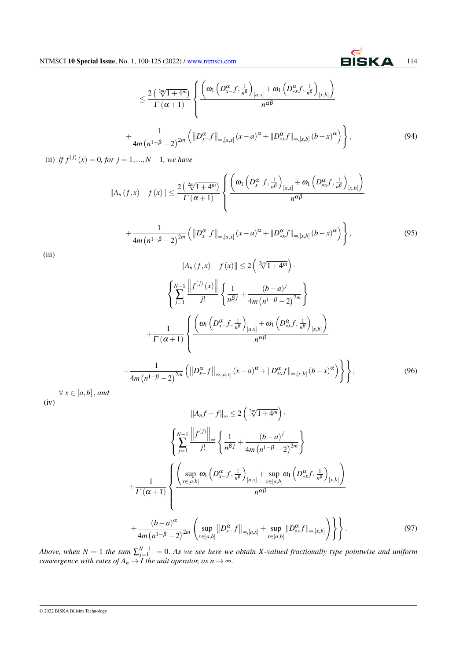### $\leq \frac{2\left(\sqrt[2m]{1+4^m}\right)}{\Gamma(m+1)}$  $\Gamma(\alpha+1)$  $\sqrt{ }$  $\int$  $\overline{\mathcal{L}}$  $\left(\omega_1\left(D_{x-}^{\alpha}f,\frac{1}{n!}\right)\right)$  $\frac{1}{n^{\beta}}$  $\omega_{\text{I}}\left(D_{\text{**}}^{\alpha}f,\frac{1}{n^{\beta}}\right]$  $\frac{1}{n^{\beta}}$ [*x*,*b*]  $\setminus$ *n* αβ  $+\frac{1}{\sqrt{1-\frac{1}{2}}}\n$  $4m(n^{1-\beta}-2)^{2m}$  $\left( \left\| D^\alpha_{x-} f \right\|_{\infty,[a,x]} (x-a)^\alpha + \left\| D^\alpha_{*x} f \right\|_{\infty,[x,b]} (b-x)^\alpha \right) \right\}$  $(94)$

(ii) *if*  $f^{(j)}(x) = 0$ *, for*  $j = 1, ..., N - 1$ *, we have* 

$$
||A_n(f,x)-f(x)|| \leq \frac{2\left(\sqrt[2m]{1+4^m}\right)}{\Gamma(\alpha+1)} \left\{ \frac{\left(\omega_1\left(D_{x-}^{\alpha}f,\frac{1}{n^{\beta}}\right)_{[a,x]} + \omega_1\left(D_{xx}^{\alpha}f,\frac{1}{n^{\beta}}\right)_{[x,b]}\right)}{n^{\alpha\beta}} + \frac{1}{4m\left(n^{1-\beta}-2\right)^{2m}} \left(\left\|D_{x-}^{\alpha}f\right\|_{\infty,[a,x]}(x-a)^{\alpha} + \left\|D_{xx}^{\alpha}f\right\|_{\infty,[x,b]}(b-x)^{\alpha}\right)\right\},
$$
\n(95)

(iii)

$$
||A_{n}(f,x)-f(x)|| \leq 2\left(\sqrt[2m]{1+4^{m}}\right).
$$
\n
$$
\left\{\sum_{j=1}^{N-1}\frac{||f^{(j)}(x)||}{j!}\left\{\frac{1}{n^{\beta j}}+\frac{(b-a)^{j}}{4m(n^{1-\beta}-2)^{2m}}\right\}\right.
$$
\n
$$
+\frac{1}{\Gamma(\alpha+1)}\left\{\frac{\left(\omega_{1}\left(D_{x-}^{\alpha}f,\frac{1}{n^{\beta}}\right)_{[a,x]}+\omega_{1}\left(D_{\ast x}^{\alpha}f,\frac{1}{n^{\beta}}\right)_{[x,b]}\right)}{n^{\alpha\beta}}\right.
$$
\n
$$
+\frac{1}{4m(n^{1-\beta}-2)^{2m}}\left(\left\|D_{x-}^{\alpha}f\right\|_{\infty,[a,x]}(x-a)^{\alpha}+\left\|D_{\ast x}^{\alpha}f\right\|_{\infty,[x,b]}(b-x)^{\alpha}\right)\right\},\tag{96}
$$

∀ *x* ∈ [*a*,*b*], *and*  $(iv)$ 

$$
||A_{n}f - f||_{\infty} \leq 2\left(\sqrt[2m]{1+4^{m}}\right).
$$
\n
$$
\left\{\sum_{j=1}^{N-1} \frac{||f^{(j)}||_{\infty}}{j!} \left\{\frac{1}{n^{\beta j}} + \frac{(b-a)^{j}}{4m(n^{1-\beta}-2)^{2m}}\right\}\right.
$$
\n
$$
+\frac{1}{\Gamma(\alpha+1)}\left\{\frac{\left(\sup_{x\in[a,b]} \omega_{1}\left(D_{x-f}^{\alpha}, \frac{1}{n^{\beta}}\right)_{[a,x]} + \sup_{x\in[a,b]} \omega_{1}\left(D_{x,f}^{\alpha}, \frac{1}{n^{\beta}}\right)_{[x,b]}\right)}{n^{\alpha\beta}}\right.
$$
\n
$$
+\frac{(b-a)^{\alpha}}{4m(n^{1-\beta}-2)^{2m}}\left(\sup_{x\in[a,b]} ||D_{x-f}^{\alpha}||_{\infty,[a,x]} + \sup_{x\in[a,b]} ||D_{x,f}^{\alpha}||_{\infty,[x,b]}\right)\right\}.
$$
\n(97)

*Above, when*  $N = 1$  the sum  $\sum_{j=1}^{N-1}$   $\cdot = 0$ . As we see here we obtain X-valued fractionally type pointwise and uniform *convergence with rates of*  $A_n \to I$  *the unit operator, as n*  $\to \infty$ *.*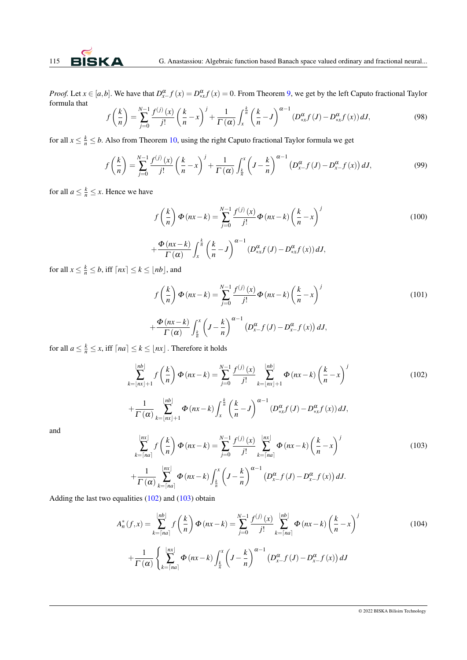*Proof.* Let  $x \in [a,b]$ . We have that  $D_{x}^{\alpha} f(x) = D_{x}^{\alpha} f(x) = 0$ . From Theorem [9,](#page-12-0) we get by the left Caputo fractional Taylor formula that

$$
f\left(\frac{k}{n}\right) = \sum_{j=0}^{N-1} \frac{f^{(j)}(x)}{j!} \left(\frac{k}{n} - x\right)^j + \frac{1}{\Gamma(\alpha)} \int_x^{\frac{k}{n}} \left(\frac{k}{n} - J\right)^{\alpha-1} \left(D_{*x}^{\alpha} f(J) - D_{*x}^{\alpha} f(x)\right) dJ,\tag{98}
$$

for all  $x \leq \frac{k}{n} \leq b$ . Also from Theorem [10,](#page-12-1) using the right Caputo fractional Taylor formula we get

$$
f\left(\frac{k}{n}\right) = \sum_{j=0}^{N-1} \frac{f^{(j)}(x)}{j!} \left(\frac{k}{n} - x\right)^j + \frac{1}{\Gamma(\alpha)} \int_{\frac{k}{n}}^x \left(J - \frac{k}{n}\right)^{\alpha - 1} \left(D_{x}^{\alpha} f(J) - D_{x}^{\alpha} f(x)\right) dJ,
$$
(99)

for all  $a \leq \frac{k}{n} \leq x$ . Hence we have

$$
f\left(\frac{k}{n}\right)\Phi\left(nx-k\right) = \sum_{j=0}^{N-1} \frac{f^{(j)}(x)}{j!} \Phi\left(nx-k\right) \left(\frac{k}{n}-x\right)^j
$$
  
+
$$
\frac{\Phi\left(nx-k\right)}{\Gamma\left(\alpha\right)} \int_x^{\frac{k}{n}} \left(\frac{k}{n}-J\right)^{\alpha-1} \left(D_{*x}^{\alpha}f\left(J\right) - D_{*x}^{\alpha}f\left(x\right)\right) dJ,
$$
 (100)

for all  $x \leq \frac{k}{n} \leq b$ , iff  $\lceil nx \rceil \leq k \leq \lfloor nb \rfloor$ , and

$$
f\left(\frac{k}{n}\right)\Phi\left(nx-k\right) = \sum_{j=0}^{N-1} \frac{f^{(j)}(x)}{j!} \Phi\left(nx-k\right) \left(\frac{k}{n}-x\right)^j
$$
  
+
$$
\frac{\Phi\left(nx-k\right)}{\Gamma\left(\alpha\right)} \int_{\frac{k}{n}}^{x} \left(J-\frac{k}{n}\right)^{\alpha-1} \left(D_{x-J}^{\alpha}(J) - D_{x-J}^{\alpha}(x)\right) dJ,
$$
 (101)

for all  $a \leq \frac{k}{n} \leq x$ , iff  $\lceil na \rceil \leq k \leq \lfloor nx \rfloor$ . Therefore it holds

$$
\sum_{k=\lfloor nx \rfloor + 1}^{\lfloor nb \rfloor} f\left(\frac{k}{n}\right) \Phi\left(nx - k\right) = \sum_{j=0}^{N-1} \frac{f^{(j)}(x)}{j!} \sum_{k=\lfloor nx \rfloor + 1}^{\lfloor nb \rfloor} \Phi\left(nx - k\right) \left(\frac{k}{n} - x\right)^j \tag{102}
$$

$$
+\frac{1}{\Gamma\left(\alpha\right)}\sum_{k=\lfloor nx\rfloor+1}^{\lfloor nb\rfloor}\Phi\left(nx-k\right)\int_x^{\frac{k}{n}}\left(\frac{k}{n}-J\right)^{\alpha-1}\left(D_{*x}^\alpha f\left(J\right)-D_{*x}^\alpha f\left(x\right)\right)dJ,
$$

and

$$
\sum_{k=\lceil na \rceil}^{\lfloor nx \rfloor} f\left(\frac{k}{n}\right) \Phi\left(nx-k\right) = \sum_{j=0}^{N-1} \frac{f^{(j)}(x)}{j!} \sum_{k=\lceil na \rceil}^{\lfloor nx \rfloor} \Phi\left(nx-k\right) \left(\frac{k}{n}-x\right)^j
$$
\n
$$
+ \frac{1}{\Gamma\left(\alpha\right)} \sum_{k=\lceil na \rceil}^{\lfloor nx \rfloor} \Phi\left(nx-k\right) \int_{\frac{k}{n}}^x \left(J - \frac{k}{n}\right)^{\alpha-1} \left(D_{x-J}^{\alpha}(J) - D_{x-J}^{\alpha}(x)\right) dJ.
$$
\n(103)

Adding the last two equalities [\(102\)](#page-6-0) and [\(103\)](#page-6-0) obtain

$$
A_n^*(f,x) = \sum_{k=\lceil na \rceil}^{\lfloor nb \rfloor} f\left(\frac{k}{n}\right) \Phi(nx-k) = \sum_{j=0}^{N-1} \frac{f^{(j)}(x)}{j!} \sum_{k=\lceil na \rceil}^{\lfloor nb \rfloor} \Phi(nx-k) \left(\frac{k}{n} - x\right)^j
$$
  
+ 
$$
\frac{1}{\Gamma(\alpha)} \left\{ \sum_{k=\lceil na \rceil}^{\lfloor nx \rfloor} \Phi(nx-k) \int_{\frac{k}{n}}^x \left(J - \frac{k}{n}\right)^{\alpha-1} \left(D_{x}^\alpha f(J) - D_{x}^\alpha f(x)\right) dJ\right\}
$$
(104)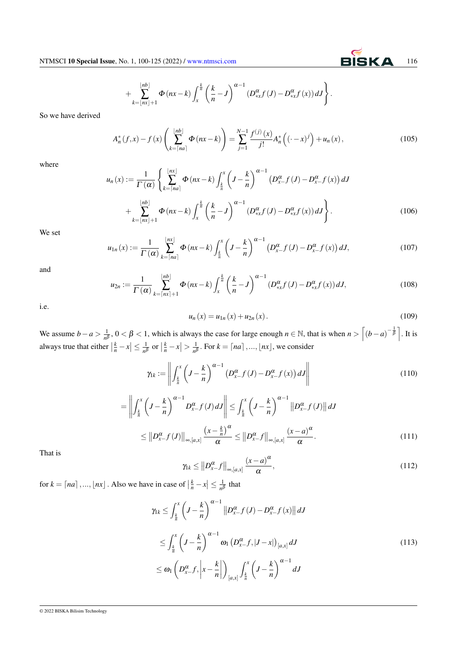### $^{+}$  $|nb|$  $\sum_{k=|nx|+1}$  $\Phi(nx-k)\int_0^{\frac{k}{n}}$ *x k*  $\left\{\frac{k}{n} - J\right\}^{\alpha - 1} \left(D_{\ast x}^{\alpha} f\left(J\right) - D_{\ast x}^{\alpha} f\left(x\right)\right) dJ\right\}.$

So we have derived

$$
A_n^*(f, x) - f(x) \left( \sum_{k=\lceil na \rceil}^{\lfloor nb \rfloor} \Phi(nx-k) \right) = \sum_{j=1}^{N-1} \frac{f^{(j)}(x)}{j!} A_n^* \left( (-x)^j \right) + u_n(x), \tag{105}
$$

where

$$
u_n(x) := \frac{1}{\Gamma(\alpha)} \left\{ \sum_{k=\lceil na \rceil}^{\lfloor nx \rfloor} \Phi\left(nx-k\right) \int_{\frac{k}{n}}^x \left(J - \frac{k}{n}\right)^{\alpha-1} \left(D_{x-}^{\alpha} f\left(J\right) - D_{x-}^{\alpha} f\left(x\right)\right) dJ + \sum_{k=\lfloor nx \rfloor+1}^{\lfloor nb \rfloor} \Phi\left(nx-k\right) \int_{x}^{\frac{k}{n}} \left(\frac{k}{n} - J\right)^{\alpha-1} \left(D_{*x}^{\alpha} f\left(J\right) - D_{*x}^{\alpha} f\left(x\right)\right) dJ \right\}.
$$
 (106)

We set

$$
u_{1n}(x) := \frac{1}{\Gamma(\alpha)} \sum_{k=\lceil na \rceil}^{\lfloor nx \rfloor} \Phi(nx-k) \int_{\frac{k}{n}}^{x} \left( J - \frac{k}{n} \right)^{\alpha-1} \left( D_{x}^{\alpha} f(J) - D_{x}^{\alpha} f(x) \right) dJ,
$$
 (107)

and

$$
u_{2n} := \frac{1}{\Gamma(\alpha)} \sum_{k=\lceil nx \rceil+1}^{\lfloor nb \rfloor} \Phi(nx-k) \int_x^{\frac{k}{n}} \left(\frac{k}{n} - J\right)^{\alpha-1} \left(D_{*x}^{\alpha} f(J) - D_{*x}^{\alpha} f(x)\right) dJ,\tag{108}
$$

i.e.

$$
u_n(x) = u_{1n}(x) + u_{2n}(x).
$$
 (109)

We assume *b* − *a* >  $\frac{1}{n}$  $\frac{1}{n^{\beta}}$ ,  $0 < \beta < 1$ , which is always the case for large enough  $n \in \mathbb{N}$ , that is when  $n > \left[ (b-a)^{-\frac{1}{\beta}} \right]$ . It is always true that either  $\left|\frac{k}{n} - x\right| \le \frac{1}{n^{\beta}}$  $\frac{1}{n^{\beta}}$  or  $\left|\frac{k}{n} - x\right| > \frac{1}{n^{\beta}}$  $\frac{1}{n^{\beta}}$ . For  $k = \lceil na \rceil, ..., \lfloor nx \rfloor$ , we consider

$$
\gamma_{1k} := \left\| \int_{\frac{k}{n}}^{x} \left( J - \frac{k}{n} \right)^{\alpha - 1} \left( D_{x}^{\alpha} - f(J) - D_{x}^{\alpha} - f(x) \right) dJ \right\| \tag{110}
$$

$$
= \left\| \int_{\frac{k}{n}}^{x} \left( J - \frac{k}{n} \right)^{\alpha - 1} D_{x}^{\alpha} f(J) dJ \right\| \leq \int_{\frac{k}{n}}^{x} \left( J - \frac{k}{n} \right)^{\alpha - 1} \left\| D_{x}^{\alpha} f(J) \right\| dJ
$$
  

$$
\leq \left\| D_{x}^{\alpha} f(J) \right\|_{\infty, [a, x]} \frac{\left( x - \frac{k}{n} \right)^{\alpha}}{\alpha} \leq \left\| D_{x}^{\alpha} f \right\|_{\infty, [a, x]} \frac{\left( x - a \right)^{\alpha}}{\alpha} . \tag{111}
$$

That is

$$
\gamma_k \leq \left\| D_{x-}^{\alpha} f \right\|_{\infty, [a,x]} \frac{(x-a)^{\alpha}}{\alpha},\tag{112}
$$

for  $k = \lceil na \rceil, ..., \lfloor nx \rfloor$ . Also we have in case of  $\left| \frac{k}{n} - x \right| \leq \frac{1}{n^k}$  $\frac{1}{n^{\beta}}$  that

$$
\gamma_{1k} \leq \int_{\frac{k}{n}}^{x} \left(J - \frac{k}{n}\right)^{\alpha - 1} \left\|D_{x}^{\alpha} f(J) - D_{x}^{\alpha} f(x)\right\| dJ
$$
  

$$
\leq \int_{\frac{k}{n}}^{x} \left(J - \frac{k}{n}\right)^{\alpha - 1} \omega_{1} \left(D_{x}^{\alpha} f, |J - x|\right)_{\left[a, x\right]} dJ
$$
  

$$
\leq \omega_{1} \left(D_{x}^{\alpha} f, \left|x - \frac{k}{n}\right|\right)_{\left[a, x\right]} \int_{\frac{k}{n}}^{x} \left(J - \frac{k}{n}\right)^{\alpha - 1} dJ
$$
 (113)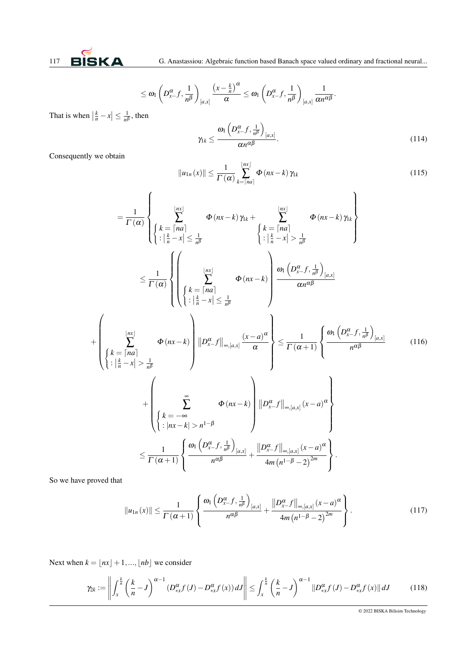$$
\leq \omega_1 \left(D_{x-}^{\alpha}f, \frac{1}{n^{\beta}}\right)_{[a,x]}\frac{\left(x-\frac{k}{n}\right)^{\alpha}}{\alpha} \leq \omega_1 \left(D_{x-}^{\alpha}f, \frac{1}{n^{\beta}}\right)_{[a,x]} \frac{1}{\alpha n^{\alpha \beta}}.
$$

That is when  $\left|\frac{k}{n} - x\right| \leq \frac{1}{n^{\beta}}$  $\frac{1}{n^{\beta}}$ , then

$$
\gamma_{1k} \leq \frac{\omega_1 \left( D_{x-}^{\alpha} f, \frac{1}{n^{\beta}} \right)_{[a,x]}}{\alpha n^{\alpha \beta}}.
$$
\n(114)

Consequently we obtain

$$
||u_{1n}(x)|| \leq \frac{1}{\Gamma(\alpha)} \sum_{k=\lceil na \rceil}^{\lfloor nx \rfloor} \Phi(nx-k) \gamma_{1k}
$$
\n(115)

$$
= \frac{1}{\Gamma(\alpha)} \left\{ \sum_{\substack{k= \lceil na \rceil}}^{\lfloor nx \rfloor} \Phi(nx-k) \gamma_{1k} + \sum_{\substack{k= \lceil na \rceil}}^{\lfloor nx \rfloor} \Phi(nx-k) \gamma_{1k} \right\}
$$
  
\n
$$
\leq \frac{1}{\Gamma(\alpha)} \left\{ \left( \sum_{\substack{k= \lceil na \rceil}}^{\lfloor nx \rfloor} \Phi(nx-k) \right) \frac{\omega_{1} \left( D_{x}^{\alpha} f, \frac{1}{n^{\beta}} \right)}{\alpha n^{\alpha \beta}} \right\}
$$
  
\n
$$
+ \left( \sum_{\substack{k= \lceil na \rceil}}^{\lfloor nx \rfloor} \Phi(nx-k) \right) \frac{\omega_{1} \left( D_{x}^{\alpha} f, \frac{1}{n^{\beta}} \right)_{[a,x]}}{\alpha n^{\alpha \beta}}
$$
  
\n+ 
$$
\left( \sum_{\substack{k= \lceil na \rceil}}^{\lfloor nx \rfloor} \Phi(nx-k) \right) \frac{\omega_{1} \left( D_{x}^{\alpha} f, \frac{1}{n^{\beta}} \right)_{[a,x]}}{\alpha n^{\alpha \beta}}
$$
  
\n+ 
$$
\left( \sum_{\substack{k= \lceil na \rceil}}^{\lfloor nx \rfloor} \Phi(nx-k) \right) \frac{\omega_{1} \left( D_{x}^{\alpha} f, \frac{1}{n^{\beta}} \right)_{[a,x]}}{\alpha} \right\} \leq \frac{1}{\Gamma(\alpha+1)} \left\{ \frac{\omega_{1} \left( D_{x}^{\alpha} f, \frac{1}{n^{\beta}} \right)_{[a,x]}}{\alpha^{\alpha \beta}} \right\} \tag{116}
$$
  
\n+ 
$$
\left( \sum_{\substack{k= -\infty \\ \lfloor nx - k \rfloor > n^{1-\beta}}}^{\lfloor nx \rfloor} \Phi(nx-k) \right) \frac{\omega_{1} \left( D_{x}^{\alpha} f \right)_{\lfloor \alpha, [a,x] \rfloor} \left( x-a \right)^{\alpha}}{\alpha^{\alpha \beta}} \right\}
$$
  
\n
$$
\leq \frac{1}{\Gamma(\alpha+1)} \left\{ \frac{\omega_{1} \left( D_{x}^{\alpha} f, \frac{1}{n^{\beta}} \right)_{[a,x]}}{\alpha^{\alpha \beta}} +
$$

So we have proved that

$$
||u_{1n}(x)|| \leq \frac{1}{\Gamma(\alpha+1)} \left\{ \frac{\omega_1 \left( D_{x-}^{\alpha} f, \frac{1}{n^{\beta}} \right)_{[a,x]}}{n^{\alpha \beta}} + \frac{||D_{x-}^{\alpha} f||_{\infty,[a,x]} (x-a)^{\alpha}}{4m (n^{1-\beta}-2)^{2m}} \right\}.
$$
 (117)

Next when  $k = \lfloor nx \rfloor + 1, ..., \lfloor nb \rfloor$  we consider

$$
\gamma_{2k} := \left\| \int_{x}^{\frac{k}{n}} \left( \frac{k}{n} - J \right)^{\alpha - 1} \left( D_{\ast x}^{\alpha} f(J) - D_{\ast x}^{\alpha} f(x) \right) dJ \right\| \leq \int_{x}^{\frac{k}{n}} \left( \frac{k}{n} - J \right)^{\alpha - 1} \left\| D_{\ast x}^{\alpha} f(J) - D_{\ast x}^{\alpha} f(x) \right\| dJ \tag{118}
$$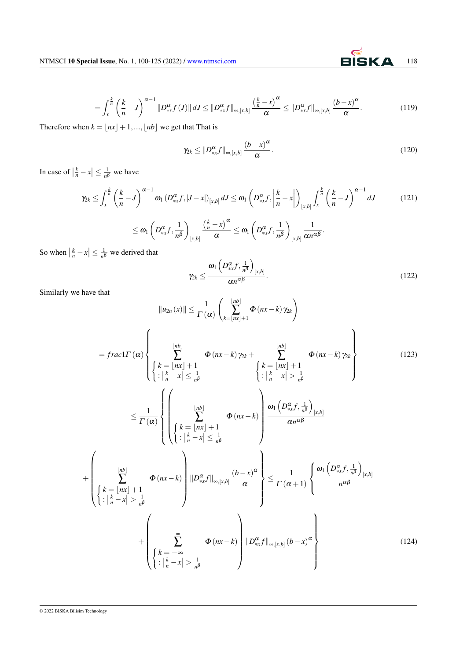$$
= \int_x^{\frac{k}{n}} \left(\frac{k}{n} - J\right)^{\alpha - 1} \left\|D_{\ast x}^{\alpha} f\left(J\right)\right\| dJ \le \left\|D_{\ast x}^{\alpha} f\right\|_{\infty, [x, b]} \frac{\left(\frac{k}{n} - x\right)^{\alpha}}{\alpha} \le \left\|D_{\ast x}^{\alpha} f\right\|_{\infty, [x, b]} \frac{\left(b - x\right)^{\alpha}}{\alpha}.
$$
\n(119)

Therefore when  $k = \lfloor nx \rfloor + 1, ..., \lfloor nb \rfloor$  we get that That is

$$
\gamma_{2k} \leq \|D_{\ast x}^{\alpha}f\|_{\infty,[x,b]} \frac{(b-x)^{\alpha}}{\alpha}.
$$
\n(120)

In case of  $\left|\frac{k}{n} - x\right| \leq \frac{1}{n^{\beta}}$  $\frac{1}{n\beta}$  we have

$$
\gamma_{2k} \leq \int_{x}^{\frac{k}{n}} \left(\frac{k}{n} - J\right)^{\alpha - 1} \omega_{1} \left(D_{*x}^{\alpha} f, |J - x|\right)_{[x,b]} dJ \leq \omega_{1} \left(D_{*x}^{\alpha} f, \left|\frac{k}{n} - x\right|\right)_{[x,b]} \int_{x}^{\frac{k}{n}} \left(\frac{k}{n} - J\right)^{\alpha - 1} dJ \qquad (121)
$$

$$
\leq \omega_{1} \left(D_{*x}^{\alpha} f, \frac{1}{n^{\beta}}\right)_{[x,b]} \frac{\left(\frac{k}{n} - x\right)^{\alpha}}{\alpha} \leq \omega_{1} \left(D_{*x}^{\alpha} f, \frac{1}{n^{\beta}}\right)_{[x,b]} \frac{1}{\alpha n^{\alpha \beta}}.
$$

So when  $\left| \frac{k}{n} - x \right| \leq \frac{1}{n^{\beta}}$  $\frac{1}{n^{\beta}}$  we derived that

$$
\gamma_{2k} \leq \frac{\omega_1 \left( D_{*x}^{\alpha} f, \frac{1}{n^{\beta}} \right)_{[x,b]}}{\alpha n^{\alpha \beta}}.
$$
\n(122)

Similarly we have that

$$
||u_{2n}(x)|| \leq \frac{1}{\Gamma(\alpha)} \left(\sum_{k=|nx|+1}^{|nb|} \Phi(nx-k) \gamma_{2k}\right)
$$
  
\n
$$
= \frac{\Gamma}{\alpha} \left(\sum_{k=|nx|+1}^{|nb|} \Phi(nx-k) \gamma_{2k} + \sum_{k=1}^{|nb|} \Phi(nx-k) \gamma_{2k}\right)
$$
  
\n
$$
\leq \frac{1}{\Gamma(\alpha)} \left\{\left(\sum_{k=|nx|+1}^{|nb|} \Phi(nx-k) \frac{|\alpha_k|}{|\alpha_k - x|} \right) \frac{|\alpha_k|}{|\alpha_k - x|} \frac{|\alpha_k|}{|\alpha_k - x|}\right\}
$$
  
\n
$$
\leq \frac{1}{\Gamma(\alpha)} \left\{\left(\sum_{k=|nx|+1}^{|nb|} \Phi(nx-k) \frac{|\alpha_k - x|}{|\alpha_k - x|} \right) \frac{|\alpha_k|}{|\alpha_k - x|} \frac{|\alpha_k|}{|\alpha_k - x|}\right\}
$$
  
\n
$$
\left\{\sum_{k=|nx|+1}^{|nb|} \Phi(nx-k) \frac{|\alpha_k f||_{\infty[x,b]} \frac{(b-x)^{\alpha}}{\alpha}}{|\alpha_k - x|}\right\} \leq \frac{1}{\Gamma(\alpha+1)} \left\{\frac{\omega_1\left(D_{n,x}^{\alpha}f, \frac{1}{n^{\beta}}\right)_{[x,b]}}{n^{\alpha\beta}} + \left(\sum_{k=1}^{\infty} \Phi(nx-k) \frac{1}{n^{\beta}}\right) \frac{|\alpha_k f||_{\infty[x,b]} \left(b-x\right)^{\alpha}}{|\alpha_k - x|}\right\}
$$
  
\n
$$
+ \left(\sum_{k=1}^{\infty} \Phi(nx-k) \frac{|\alpha_k - x|}{|\alpha_k - x|} \right) \frac{|\alpha_k f||_{\infty[x,b]} \left(b-x\right)^{\alpha}}{|\alpha_k - x|}\right\}
$$
  
\n(124)

+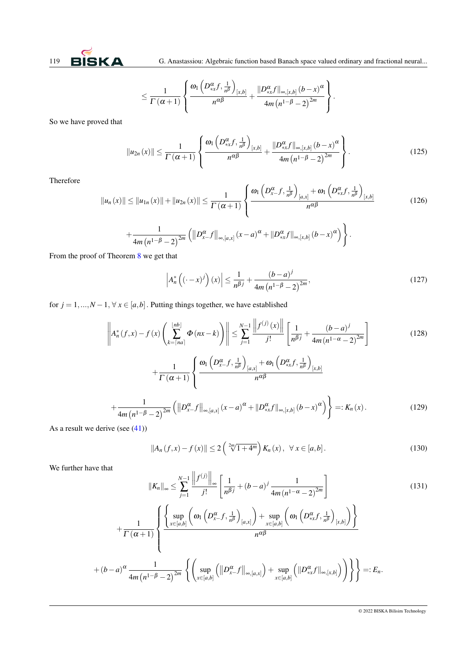

$$
\leq \frac{1}{\Gamma\left(\alpha+1\right)}\left\{\frac{\omega_1\left(D_{\ast x}^{\alpha}f,\frac{1}{n^{\beta}}\right)_{\left[x,b\right]}}{n^{\alpha\beta}}+\frac{\|D_{\ast x}^{\alpha}f\|_{\infty,\left[x,b\right]}\left(b-x\right)^{\alpha}}{4m\left(n^{1-\beta}-2\right)^{2m}}\right\}.
$$

So we have proved that

$$
||u_{2n}(x)|| \leq \frac{1}{\Gamma(\alpha+1)} \left\{ \frac{\omega_1 \left( D_{*x}^{\alpha} f, \frac{1}{n^{\beta}} \right)_{[x,b]}}{n^{\alpha \beta}} + \frac{||D_{*x}^{\alpha} f||_{\infty,[x,b]} (b-x)^{\alpha}}{4m (n^{1-\beta}-2)^{2m}} \right\}.
$$
 (125)

Therefore

$$
\|u_n(x)\| \le \|u_{1n}(x)\| + \|u_{2n}(x)\| \le \frac{1}{\Gamma(\alpha+1)} \left\{ \frac{\omega_1\left(D_{x-}^{\alpha}f, \frac{1}{n^{\beta}}\right)_{[a,x]} + \omega_1\left(D_{\ast x}^{\alpha}f, \frac{1}{n^{\beta}}\right)_{[x,b]}}{n^{\alpha\beta}} \right\}
$$
(126)

$$
+\frac{1}{4m(n^{1-\beta}-2)^{2m}}\left(\left\|D_{x-}^{\alpha}f\right\|_{\infty,[a,x]}(x-a)^{\alpha}+\left\|D_{\ast x}^{\alpha}f\right\|_{\infty,[x,b]}(b-x)^{\alpha}\right)\right\}.
$$

From the proof of Theorem [8](#page-8-0) we get that

$$
\left| A_n^* \left( (-x)^j \right) (x) \right| \le \frac{1}{n^{\beta j}} + \frac{(b-a)^j}{4m \left( n^{1-\beta} - 2 \right)^{2m}},\tag{127}
$$

for  $j = 1, ..., N - 1, \forall x \in [a, b]$ . Putting things together, we have established

$$
\left\| A_n^*(f, x) - f(x) \left( \sum_{k=\lceil na \rceil}^{\lfloor nb \rfloor} \Phi(nx-k) \right) \right\| \le \sum_{j=1}^{N-1} \frac{\left\| f^{(j)}(x) \right\|}{j!} \left[ \frac{1}{n^{\beta j}} + \frac{(b-a)^j}{4m(n^{1-\alpha}-2)^{2m}} \right] + \frac{1}{\Gamma(\alpha+1)} \left\{ \frac{\omega_1 \left( D_{x-}^{\alpha} f, \frac{1}{n^{\beta}} \right)_{[a,x]} + \omega_1 \left( D_{x+}^{\alpha} f, \frac{1}{n^{\beta}} \right)_{[x,b]}}{n^{\alpha \beta}} + \frac{1}{4m(n^{1-\beta}-2)^{2m}} \left( \left\| D_{x-}^{\alpha} f \right\|_{\infty,[a,x]} (x-a)^{\alpha} + \left\| D_{xx}^{\alpha} f \right\|_{\infty,[x,b]} (b-x)^{\alpha} \right) \right\} =: K_n(x). \tag{129}
$$

As a result we derive (see  $(41)$ )

 $\Gamma(\alpha+1)$ 

$$
||A_n(f, x) - f(x)|| \le 2\left(\sqrt[2m]{1+4^m}\right)K_n(x), \ \ \forall \ x \in [a, b]. \tag{130}
$$

We further have that

$$
||K_n||_{\infty} \le \sum_{j=1}^{N-1} \frac{\left\|f^{(j)}\right\|_{\infty}}{j!} \left[\frac{1}{n^{\beta j}} + (b-a)^j \frac{1}{4m(n^{1-\alpha}-2)^{2m}}\right]
$$
  
+ 
$$
\frac{1}{\sum_{x \in [a,b]} \left(\frac{\sup}{x \in [a,b]} \left(\omega_1 \left(D_{x}^{\alpha} f, \frac{1}{n^{\beta}}\right)_{[a,x]}\right) + \sup_{x \in [a,b]} \left(\omega_1 \left(D_{\ast x}^{\alpha} f, \frac{1}{n^{\beta}}\right)_{[x,b]}\right)\right\}
$$
(131)

*n* αβ

$$
+(b-a)^{\alpha}\frac{1}{4m(n^{1-\beta}-2)^{2m}}\left\{\left(\sup_{x\in[a,b]}\left(\left\|D_{x-}^{\alpha}f\right\|_{\infty,[a,x]}\right)+\sup_{x\in[a,b]}\left(\left\|D_{\ast x}^{\alpha}f\right\|_{\infty,[x,b]}\right)\right)\right\}\right\}=E_n.
$$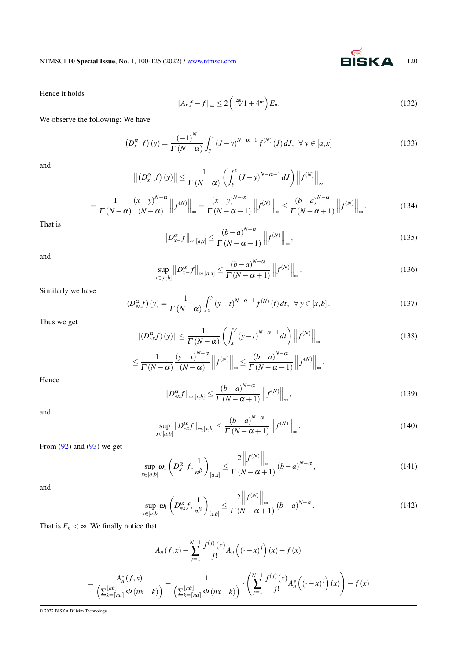Hence it holds

$$
||A_nf - f||_{\infty} \le 2\left(\sqrt[2m]{1+4^m}\right)E_n.
$$
 (132)

We observe the following: We have

$$
\left(D_{x-}^{\alpha}f\right)(y) = \frac{\left(-1\right)^{N}}{\Gamma\left(N-\alpha\right)} \int_{y}^{x} \left(J-y\right)^{N-\alpha-1} f^{(N)}\left(J\right) dJ, \ \ \forall \ y \in [a,x] \tag{133}
$$

and

$$
\left\| \left( D_{x}^{\alpha} f \right) (y) \right\| \leq \frac{1}{\Gamma(N-\alpha)} \left( \int_{y}^{x} (J-y)^{N-\alpha-1} dJ \right) \left\| f^{(N)} \right\|_{\infty}
$$

$$
= \frac{1}{\Gamma(N-\alpha)} \frac{(x-y)^{N-\alpha}}{(N-\alpha)} \left\| f^{(N)} \right\|_{\infty} = \frac{(x-y)^{N-\alpha}}{\Gamma(N-\alpha+1)} \left\| f^{(N)} \right\|_{\infty} \leq \frac{(b-a)^{N-\alpha}}{\Gamma(N-\alpha+1)} \left\| f^{(N)} \right\|_{\infty} . \tag{134}
$$

That is

$$
\left\|D_{x-}^{\alpha}f\right\|_{\infty,[a,x]} \leq \frac{\left(b-a\right)^{N-\alpha}}{\Gamma\left(N-\alpha+1\right)}\left\|f^{(N)}\right\|_{\infty},\tag{135}
$$

and

$$
\sup_{x\in[a,b]}||D_{x-}^{\alpha}f||_{\infty,[a,x]}\leq\frac{\left(b-a\right)^{N-\alpha}}{\Gamma\left(N-\alpha+1\right)}\left\|f^{(N)}\right\|_{\infty}.
$$
\n(136)

Similarly we have

$$
\left(D_{\ast x}^{\alpha} f\right)(y) = \frac{1}{\Gamma\left(N - \alpha\right)} \int_{x}^{y} \left(y - t\right)^{N - \alpha - 1} f^{(N)}\left(t\right) dt, \ \ \forall \ y \in \left[x, b\right]. \tag{137}
$$

Thus we get

$$
\| (D_{\ast x}^{\alpha} f)(y) \| \leq \frac{1}{\Gamma(N-\alpha)} \left( \int_x^y (y-t)^{N-\alpha-1} dt \right) \| f^{(N)} \|_{\infty}
$$
  

$$
\leq \frac{1}{\Gamma(N-\alpha)} \frac{(y-x)^{N-\alpha}}{(N-\alpha)} \| f^{(N)} \|_{\infty} \leq \frac{(b-a)^{N-\alpha}}{\Gamma(N-\alpha+1)} \| f^{(N)} \|_{\infty}.
$$
 (138)

Hence

$$
||D_{\ast x}^{\alpha}f||_{\infty,[x,b]} \leq \frac{(b-a)^{N-\alpha}}{\Gamma(N-\alpha+1)} \left||f^{(N)}\right||_{\infty},\tag{139}
$$

and

$$
\sup_{x\in[a,b]}\|D_{\ast x}^{\alpha}f\|_{\infty,[x,b]}\leq\frac{\left(b-a\right)^{N-\alpha}}{\Gamma\left(N-\alpha+1\right)}\left\|f^{(N)}\right\|_{\infty}.
$$
\n(140)

From  $(92)$  and  $(93)$  we get

$$
\sup_{x \in [a,b]} \omega_1 \left( D_{x-}^{\alpha} f, \frac{1}{n^{\beta}} \right)_{[a,x]} \le \frac{2 \left\| f^{(N)} \right\|_{\infty}}{\Gamma \left( N - \alpha + 1 \right)} \left( b - a \right)^{N - \alpha},\tag{141}
$$

and

$$
\sup_{x \in [a,b]} \omega_1 \left( D_{\ast x}^{\alpha} f, \frac{1}{n^{\beta}} \right)_{[x,b]} \le \frac{2 \left\| f^{(N)} \right\|_{\infty}}{\Gamma \left( N - \alpha + 1 \right)} \left( b - a \right)^{N - \alpha} . \tag{142}
$$

That is  $E_n < \infty$ . We finally notice that

$$
A_{n}(f,x) - \sum_{j=1}^{N-1} \frac{f^{(j)}(x)}{j!} A_{n} ((\cdot - x)^{j}) (x) - f(x)
$$
  
= 
$$
\frac{A_{n}^{*}(f,x)}{\left(\sum_{k=\lceil na\rceil}^{\lfloor nb\rfloor} \Phi(nx-k)\right)} - \frac{1}{\left(\sum_{k=\lceil na\rceil}^{\lfloor nb\rfloor} \Phi(nx-k)\right)} \cdot \left(\sum_{j=1}^{N-1} \frac{f^{(j)}(x)}{j!} A_{n}^{*} ((\cdot - x)^{j}) (x)\right) - f(x)
$$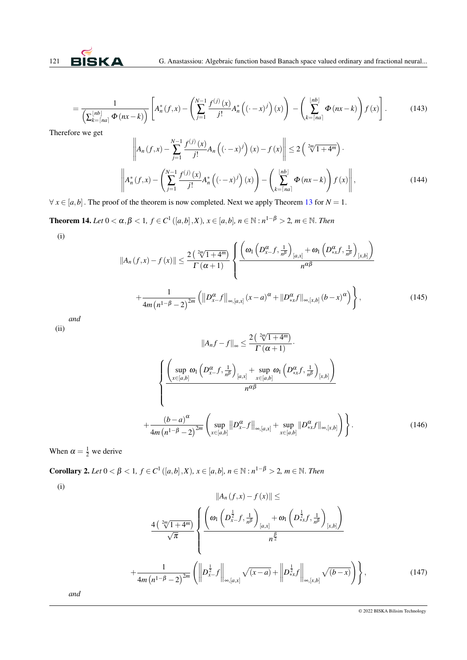

$$
=\frac{1}{\left(\sum_{k=\lceil na\rceil}^{\lfloor nb\rfloor}\Phi\left(nx-k\right)\right)}\left[A_n^*(f,x)-\left(\sum_{j=1}^{N-1}\frac{f^{(j)}(x)}{j!}A_n^*\left(\left(\cdot-x\right)^j\right)(x)\right)-\left(\sum_{k=\lceil na\rceil}^{\lfloor nb\rfloor}\Phi\left(nx-k\right)\right)f(x)\right].\tag{143}
$$

Therefore we get

$$
\left\| A_n(f, x) - \sum_{j=1}^{N-1} \frac{f^{(j)}(x)}{j!} A_n \left( (\cdot - x)^j \right) (x) - f(x) \right\| \le 2 \left( \sqrt[2m]{1 + 4^m} \right).
$$
  

$$
\left\| A_n^*(f, x) - \left( \sum_{j=1}^{N-1} \frac{f^{(j)}(x)}{j!} A_n^*\left( (\cdot - x)^j \right) (x) \right) - \left( \sum_{k=\lceil na \rceil}^{\lfloor nb \rfloor} \Phi(nx - k) \right) f(x) \right\|,
$$
 (144)

 $\forall x \in [a, b]$ . The proof of the theorem is now completed. Next we apply Theorem [13](#page-13-0) for  $N = 1$ .

**Theorem 14.** Let 0 < α, β < 1, f ∈ C<sup>1</sup> ([a, b], X), x ∈ [a, b], n ∈ N : n<sup>1−β</sup> > 2, m ∈ N. *Then* (i)

$$
||A_n(f,x)-f(x)|| \leq \frac{2\left(\sqrt[2m]{1+4^m}\right)}{\Gamma(\alpha+1)} \left\{ \frac{\left(\omega_1\left(D_{x-}^{\alpha}f,\frac{1}{n^{\beta}}\right)_{[a,x]} + \omega_1\left(D_{x+}^{\alpha}f,\frac{1}{n^{\beta}}\right)_{[x,b]}\right)}{n^{\alpha\beta}} + \frac{1}{4m\left(n^{1-\beta}-2\right)^{2m}} \left(\left\|D_{x-}^{\alpha}f\right\|_{\infty,[a,x]}(x-a)^{\alpha} + \left\|D_{x+}^{\alpha}f\right\|_{\infty,[x,b]}(b-x)^{\alpha}\right)\right\},
$$
\n(145)

*and*

(ii)

$$
||A_n f - f||_{\infty} \leq \frac{2\left(\frac{2n}{\sqrt{1+4^m}}\right)}{\Gamma(\alpha+1)}.
$$

$$
\left\{\frac{\left(\sup_{x \in [a,b]} \omega_1 \left(D_{x-}^{\alpha} f, \frac{1}{n^{\beta}}\right)_{[a,x]} + \sup_{x \in [a,b]} \omega_1 \left(D_{x+}^{\alpha} f, \frac{1}{n^{\beta}}\right)_{[x,b]}\right)}{n^{\alpha \beta}}\right\}
$$

$$
+\frac{(b-a)^{\alpha}}{4m(n^{1-\beta}-2)^{2m}} \left(\sup_{x \in [a,b]} ||D_{x-}^{\alpha} f||_{\infty,[a,x]} + \sup_{x \in [a,b]} ||D_{x+}^{\alpha} f||_{\infty,[x,b]}\right)\right\}.
$$
(146)

<span id="page-21-0"></span>When  $\alpha = \frac{1}{2}$  we derive

**Corollary 2.** *Let* 0 < β < 1, *f* ∈ *C*<sup>1</sup> ([*a*,*b*], *X*), *x* ∈ [*a*,*b*], *n* ∈ N : *n*<sup>1−β</sup> > 2, *m* ∈ N. *Then* 

(i)

$$
||A_{n}(f,x)-f(x)|| \le
$$
  

$$
\frac{4\left(\sqrt[2m]{1+4^{m}}\right)}{\sqrt{\pi}}\left\{\frac{\left(\omega_{1}\left(D_{x-}^{\frac{1}{2}}f,\frac{1}{n^{\beta}}\right)_{[a,x]} + \omega_{1}\left(D_{x+}^{\frac{1}{2}}f,\frac{1}{n^{\beta}}\right)_{[x,b]}\right)}{n^{\frac{\beta}{2}}}\right\}
$$

$$
+\frac{1}{4m\left(n^{1-\beta}-2\right)^{2m}}\left(\left\|D_{x-}^{\frac{1}{2}}f\right\|_{\infty,[a,x]}\sqrt{(x-a)}+\left\|D_{x+}^{\frac{1}{2}}f\right\|_{\infty,[x,b]}\sqrt{(b-x)}\right)\right\},
$$
(147)

*and*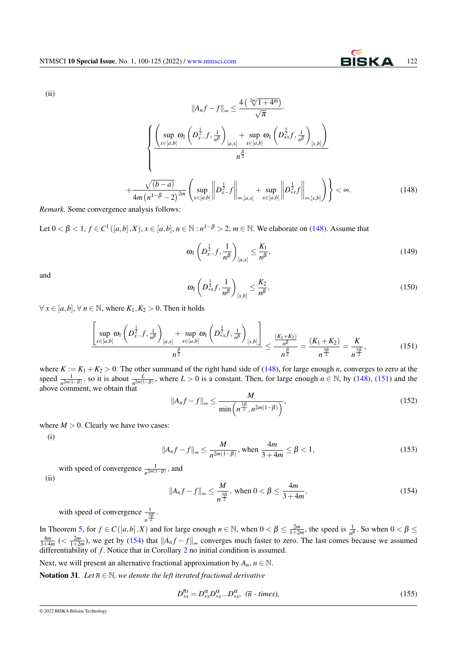(ii)

$$
||A_n f - f||_{\infty} \leq \frac{4\left(\sqrt[2m]{1+4^m}\right)}{\sqrt{\pi}}.
$$

$$
\left\{\frac{\left(\sup_{x \in [a,b]} \omega_1 \left(D_{x-}^{\frac{1}{2}}f, \frac{1}{n^{\beta}}\right)_{[a,x]} + \sup_{x \in [a,b]} \omega_1 \left(D_{*x}^{\frac{1}{2}}f, \frac{1}{n^{\beta}}\right)_{[x,b]}\right)}{n^{\frac{\beta}{2}}}\right\}
$$

$$
+\frac{\sqrt{(b-a)}}{4m(n^{1-\beta}-2)^{2m}} \left(\sup_{x \in [a,b]} \left\|D_{x-}^{\frac{1}{2}}f\right\|_{\infty,[a,x]} + \sup_{x \in [a,b]} \left\|D_{*x}^{\frac{1}{2}}f\right\|_{\infty,[x,b]}\right)\right\} < \infty.
$$
(148)

*Remark.* Some convergence analysis follows:

Let  $0 < \beta < 1$ ,  $f \in C^1([a,b],X)$ ,  $x \in [a,b]$ ,  $n \in \mathbb{N} : n^{1-\beta} > 2$ ,  $m \in \mathbb{N}$ . We elaborate on [\(148\)](#page-6-0). Assume that

$$
\omega_1 \left( D_{x-}^{\frac{1}{2}} f, \frac{1}{n^{\beta}} \right)_{[a,x]} \le \frac{K_1}{n^{\beta}}, \tag{149}
$$

and

$$
\omega_1\left(D_{*x}^{\frac{1}{2}}, \frac{1}{n^{\beta}}\right)_{[x,b]} \le \frac{K_2}{n^{\beta}},\tag{150}
$$

∀ *x* ∈ [*a*,*b*], ∀ *n* ∈ N, where *K*<sub>1</sub>, *K*<sub>2</sub> > 0. Then it holds

$$
\frac{\left[\sup_{x\in[a,b]} \omega_1\left(D_{x-}^{\frac{1}{2}}f,\frac{1}{n^{\beta}}\right)_{[a,x]} + \sup_{x\in[a,b]} \omega_1\left(D_{x,x}^{\frac{1}{2}}f,\frac{1}{n^{\beta}}\right)_{[x,b]}\right]}{n^{\frac{\beta}{2}}} \le \frac{\frac{(K_1+K_2)}{n^{\beta}}}{n^{\frac{\beta}{2}}} = \frac{(K_1+K_2)}{n^{\frac{3\beta}{2}}} = \frac{K}{n^{\frac{3\beta}{2}}},
$$
(151)

where  $K := K_1 + K_2 > 0$ . The other summand of the right hand side of [\(148\)](#page-6-0), for large enough *n*, converges to zero at the speed  $\frac{1}{n^{2m(1-\beta)}}$ , so it is about  $\frac{L}{n^{2m(1-\beta)}}$ , where  $L > 0$  is a constant. Then, for large enough  $n \in \mathbb{N}$ , by [\(148\)](#page-6-0), [\(151\)](#page-6-0) and the above comment, we obtain that

$$
||A_nf - f||_{\infty} \le \frac{M}{\min\left(n^{\frac{3\beta}{2}}, n^{2m(1-\beta)}\right)},
$$
\n(152)

where  $M > 0$ . Clearly we have two cases:

(i)

$$
||A_nf - f||_{\infty} \le \frac{M}{n^{2m(1-\beta)}}, \text{ when } \frac{4m}{3+4m} \le \beta < 1,
$$
 (153)

with speed of convergence  $\frac{1}{n^{2m(1-\beta)}}$ , and (ii)

$$
||A_nf - f||_{\infty} \le \frac{M}{n^{\frac{3\beta}{2}}}, \text{ when } 0 < \beta \le \frac{4m}{3+4m}, \tag{154}
$$

with speed of convergence  $-\frac{1}{3}$  $rac{1}{n^{\frac{3\beta}{2}}}$ .

In Theorem [5,](#page-6-1) for  $f \in C([a,b],X)$  and for large enough  $n \in \mathbb{N}$ , when  $0 < \beta \le \frac{2m}{1+2m}$ , the speed is  $\frac{1}{n\beta}$ . So when  $0 < \beta \le$  $\frac{4m}{3+4m}$  (<  $\frac{2m}{1+2m}$ ), we get by [\(154\)](#page-6-0) that  $||A_nf-f||_{\infty}$  converges much faster to zero. The last comes because we assumed differentiability of *f* . Notice that in Corollary [2](#page-21-0) no initial condition is assumed.

Next, we will present an alternative fractional approximation by  $A_n$ ,  $n \in \mathbb{N}$ .

**Notation 31.** Let  $\overline{n} \in \mathbb{N}$ , we denote the left iterated fractional derivative

$$
D_{\ast x}^{\overline{n}x} = D_{\ast x}^{\alpha} D_{\ast x}^{\alpha} \dots D_{\ast x}^{\alpha}, \quad (\overline{n} - \text{times}), \tag{155}
$$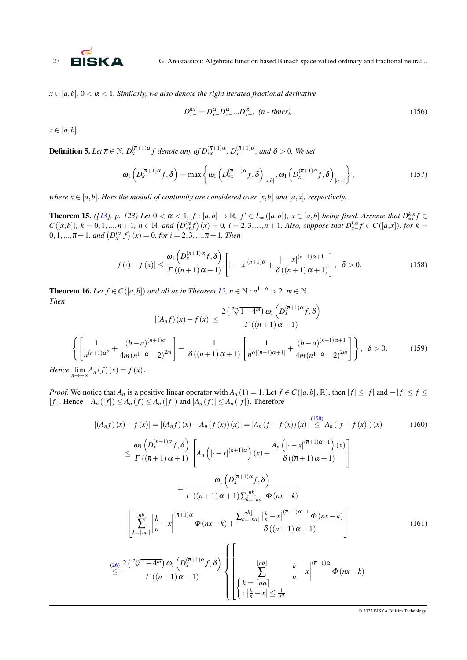$x \in [a, b]$ ,  $0 < \alpha < 1$ *. Similarly, we also denote the right iterated fractional derivative* 

$$
D_{x-}^{\overline{n}x} = D_{x-}^{\alpha} D_{x-}^{\alpha} \dots D_{x-}^{\alpha}, \quad (\overline{n} - \text{times}), \tag{156}
$$

 $x \in [a, b]$ .

**Definition 5.** Let  $\overline{n} \in \mathbb{N}$ ,  $D_x^{(\overline{n}+1)\alpha} f$  denote any of  $D_{xx}^{(\overline{n}+1)\alpha}$ ,  $D_{x-}^{(\overline{n}+1)\alpha}$ , and  $\delta > 0$ . We set

$$
\omega_1\left(D_x^{(\overline{n}+1)\alpha}f,\delta\right) = \max\left\{\omega_1\left(D_{*x}^{(\overline{n}+1)\alpha}f,\delta\right)_{[x,b]},\omega_1\left(D_{x-}^{(\overline{n}+1)\alpha}f,\delta\right)_{[a,x]}\right\},\tag{157}
$$

*where*  $x \in [a,b]$ *. Here the moduli of continuity are considered over* [*x*,*b*] *and* [*a*,*x*], *respectively.* 

<span id="page-23-0"></span>**Theorem 15.** ([\[13\]](#page-25-8), p. 123) Let  $0 < \alpha < 1$ ,  $f : [a,b] \to \mathbb{R}$ ,  $f' \in L_{\infty}([a,b])$ ,  $x \in [a,b]$  being fixed. Assume that  $D_{xx}^{k\alpha} f \in L_{\infty}([a,b])$  $C([x,b]), k = 0,1,...,\overline{n}+1, \overline{n} \in \mathbb{N}$ , and  $(D_{*x}^{i\alpha}f)(x) = 0$ ,  $i = 2,3,...,\overline{n}+1$ . Also, suppose that  $D_{x}^{k\alpha}f \in C([a,x]),$  for  $k = 0,1,...,\overline{n}+1$ .  $(0,1,...,\overline{n}+1,$  and  $(D_{x-}^{i\alpha}f)(x) = 0$ , for  $i = 2,3,...,\overline{n}+1$ . Then

$$
|f(\cdot) - f(x)| \leq \frac{\omega_1\left(D_x^{(\overline{n}+1)\alpha}f, \delta\right)}{\Gamma\left((\overline{n}+1)\alpha+1\right)} \left[|\cdot - x|^{(\overline{n}+1)\alpha} + \frac{|\cdot - x|^{(\overline{n}+1)\alpha+1}}{\delta\left((\overline{n}+1)\alpha+1\right)}\right], \quad \delta > 0. \tag{158}
$$

<span id="page-23-1"></span>**Theorem 16.** Let  $f \in C([a,b])$  and all as in Theorem [15,](#page-23-0)  $n \in \mathbb{N} : n^{1-\alpha} > 2$ ,  $m \in \mathbb{N}$ . *Then*

$$
|(A_n f)(x) - f(x)| \le \frac{2\left(\sqrt[2m]{1+4^m}\right)\omega_1\left(D_x^{(\overline{n}+1)\alpha}f,\delta\right)}{\Gamma((\overline{n}+1)\alpha+1)}
$$

$$
\left\{ \left[ \frac{1}{n^{(\overline{n}+1)\alpha^2}} + \frac{(b-a)^{(\overline{n}+1)\alpha}}{4m(n^{1-\alpha}-2)^{2m}} \right] + \frac{1}{\delta((\overline{n}+1)\alpha+1)} \left[ \frac{1}{n^{\alpha[(\overline{n}+1)\alpha+1]}} + \frac{(b-a)^{(\overline{n}+1)\alpha+1}}{4m(n^{1-\alpha}-2)^{2m}} \right] \right\}, \delta > 0. \tag{159}
$$

*Hence*  $\lim_{n\to+\infty}A_n(f)(x) = f(x)$ .

*Proof.* We notice that  $A_n$  is a positive linear operator with  $A_n(1) = 1$ . Let  $f \in C([a, b], \mathbb{R})$ , then  $|f| \leq |f|$  and  $-|f| \leq f \leq$  $|f|$ . Hence  $-A_n(|f|)$  ≤  $A_n(f)$  ≤  $A_n(|f|)$  and  $|A_n(f)|$  ≤  $A_n(|f|)$ . Therefore

$$
|(A_n f)(x) - f(x)| = |(A_n f)(x) - A_n(f(x))(x)| = |A_n(f - f(x))(x)| \stackrel{(158)}{\leq} A_n(|f - f(x)|)(x)
$$
(160)

$$
\leq \frac{\omega_1\left(D_x^{(\overline{n}+1)\alpha}f,\delta\right)}{\Gamma\left((\overline{n}+1)\alpha+1\right)} \left[A_n\left(|-x|^{(\overline{n}+1)\alpha}\right)(x) + \frac{A_n\left(|-x|^{(\overline{n}+1)\alpha+1}\right)(x)}{\delta\left((\overline{n}+1)\alpha+1\right)}\right]
$$
\n
$$
= \frac{\omega_1\left(D_x^{(\overline{n}+1)\alpha}f,\delta\right)}{\Gamma\left((\overline{n}+1)\alpha+1\right)\sum_{k=[na]}^{\lfloor nb\rfloor} \Phi(nx-k)}
$$
\n
$$
\left[\sum_{k=[na]}^{\lfloor nb\rfloor} \left|\frac{k}{n}-x\right|^{(\overline{n}+1)\alpha} \Phi(nx-k) + \frac{\sum_{k=[na]}^{\lfloor nb\rfloor} \left|\frac{k}{n}-x\right|^{(\overline{n}+1)\alpha+1} \Phi(nx-k)}{\delta\left((\overline{n}+1)\alpha+1\right)}\right]
$$
\n
$$
\stackrel{(26)}{\leq} \frac{2\left(\sqrt[2m]{1+4^m}\right)\omega_1\left(D_x^{(\overline{n}+1)\alpha}f,\delta\right)}{\Gamma\left((\overline{n}+1)\alpha+1\right)} \left\{\begin{array}{c}\left|\frac{nb}{n}\right| & \left|\frac{k}{n}-x\right|^{(\overline{n}+1)\alpha} \Phi(nx-k) \\ \left|\frac{k}{n}-x\right|\leq \frac{1}{n^{\alpha}}\end{array}\right.\right.
$$
\n
$$
(161)
$$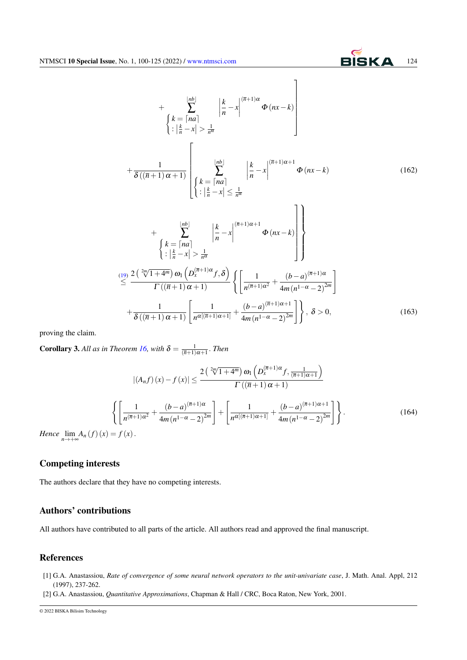$$
+\sum_{k=-\lceil na \rceil}^{\lfloor nb \rfloor} \left\{ \frac{k}{n} - x \right\}^{\lceil (n+1)\alpha} \Phi(nx-k) \right\}
$$
\n
$$
+\frac{1}{\delta((\overline{n}+1)\alpha+1)} \left\{ \left\{ \frac{k}{n} - \frac{[nb]}{n} \right\}^{\lceil (nb]\rceil} \left\{ \frac{k}{n} - x \right\}^{\lceil (n+1)\alpha+1} \Phi(nx-k) \right\}
$$
\n
$$
+\sum_{k=-\lceil na \rceil}^{\lfloor nb \rfloor} \left\{ \frac{k}{n} - \frac{[na]}{n} \right\}^{\lceil (n+1)\alpha+1} \Phi(nx-k) \right\}
$$
\n
$$
+\sum_{k=-\lceil na \rceil}^{\lfloor nb \rfloor} \left\{ \frac{k}{n} - x \right\}^{\lceil (n+1)\alpha+1} \Phi(nx-k) \right\}
$$
\n
$$
+\sum_{k=-\lceil na \rceil}^{\lfloor nb \rfloor} \left\{ \frac{k}{n} - x \right\}^{\lceil (n+1)\alpha+1} \Phi(nx-k) \right\}
$$
\n
$$
\leq \frac{2\left(\sqrt[2m]{1+4^m}\right)\omega_1\left(D_x^{(\overline{n}+1)\alpha}f,\delta\right)}{\Gamma((\overline{n}+1)\alpha+1)} \left\{ \left[\frac{1}{n^{(\overline{n}+1)\alpha^2}} + \frac{(b-a)^{(\overline{n}+1)\alpha}}{4m(n^{1-\alpha}-2)^{2m}}\right] \right\}, \delta > 0, \qquad (163)
$$

proving the claim.

**Corollary 3.** All as in Theorem [16,](#page-23-1) with  $\delta = \frac{1}{(\overline{n}+1)\alpha+1}$ . Then

$$
|(A_n f)(x) - f(x)| \le \frac{2\left(\sqrt[2m]{1+4^m}\right)\omega_1\left(D_x^{(\overline{n}+1)\alpha}f, \frac{1}{(\overline{n}+1)\alpha+1}\right)}{\Gamma((\overline{n}+1)\alpha+1)}
$$

$$
\left\{\left[\frac{1}{n^{(\overline{n}+1)\alpha^2}} + \frac{(b-a)^{(\overline{n}+1)\alpha}}{4m(n^{1-\alpha}-2)^{2m}}\right] + \left[\frac{1}{n^{\alpha[(\overline{n}+1)\alpha+1]}} + \frac{(b-a)^{(\overline{n}+1)\alpha+1}}{4m(n^{1-\alpha}-2)^{2m}}\right] \right\}.
$$
(164)

*Hence*  $\lim_{n \to +\infty} A_n(f)(x) = f(x)$ .

## Competing interests

The authors declare that they have no competing interests.

## Authors' contributions

All authors have contributed to all parts of the article. All authors read and approved the final manuscript.

## References

- <span id="page-24-0"></span>[1] G.A. Anastassiou, *Rate of convergence of some neural network operators to the unit-univariate case*, J. Math. Anal. Appl, 212 (1997), 237-262.
- <span id="page-24-1"></span>[2] G.A. Anastassiou, *Quantitative Approximations*, Chapman & Hall / CRC, Boca Raton, New York, 2001.